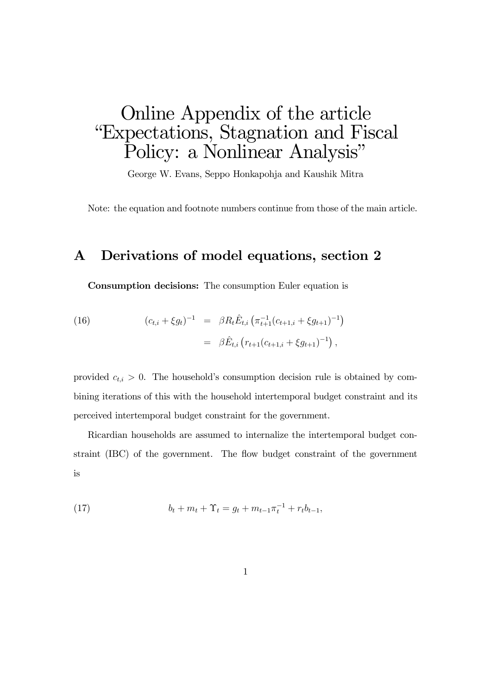# Online Appendix of the article "Expectations, Stagnation and Fiscal Policy: a Nonlinear Analysis"

George W. Evans, Seppo Honkapohja and Kaushik Mitra

Note: the equation and footnote numbers continue from those of the main article.

### A Derivations of model equations, section 2

Consumption decisions: The consumption Euler equation is

(16) 
$$
(c_{t,i} + \xi g_t)^{-1} = \beta R_t \hat{E}_{t,i} \left( \pi_{t+1}^{-1} (c_{t+1,i} + \xi g_{t+1})^{-1} \right)
$$

$$
= \beta \hat{E}_{t,i} \left( r_{t+1} (c_{t+1,i} + \xi g_{t+1})^{-1} \right),
$$

provided  $c_{t,i} > 0$ . The household's consumption decision rule is obtained by combining iterations of this with the household intertemporal budget constraint and its perceived intertemporal budget constraint for the government.

Ricardian households are assumed to internalize the intertemporal budget constraint (IBC) of the government. The flow budget constraint of the government is

(17) 
$$
b_t + m_t + \Upsilon_t = g_t + m_{t-1} \pi_t^{-1} + r_t b_{t-1},
$$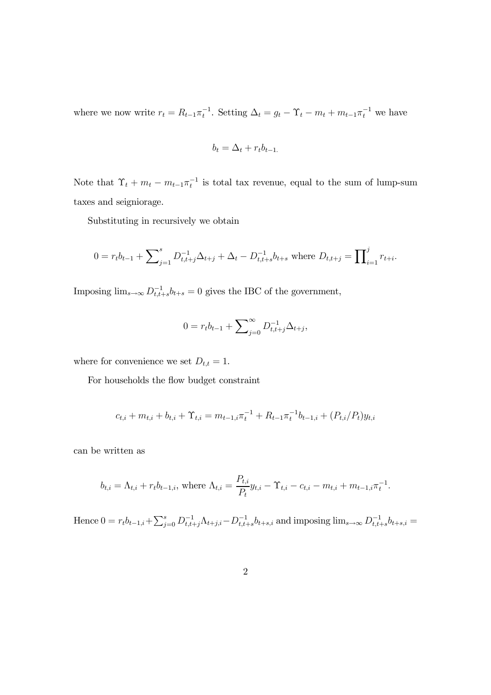where we now write  $r_t = R_{t-1} \pi_t^{-1}$ . Setting  $\Delta_t = g_t - \Upsilon_t - m_t + m_{t-1} \pi_t^{-1}$  we have

$$
b_t = \Delta_t + r_t b_{t-1.}
$$

Note that  $\Upsilon_t + m_t - m_{t-1} \pi_t^{-1}$  is total tax revenue, equal to the sum of lump-sum taxes and seigniorage.

Substituting in recursively we obtain

$$
0 = r_t b_{t-1} + \sum_{j=1}^s D_{t,t+j}^{-1} \Delta_{t+j} + \Delta_t - D_{t,t+s}^{-1} b_{t+s} \text{ where } D_{t,t+j} = \prod_{i=1}^j r_{t+i}.
$$

Imposing  $\lim_{s\to\infty} D_{t,t+s}^{-1} b_{t+s} = 0$  gives the IBC of the government,

$$
0 = r_t b_{t-1} + \sum_{j=0}^{\infty} D_{t,t+j}^{-1} \Delta_{t+j},
$$

where for convenience we set  $D_{t,t} = 1$ .

For households the flow budget constraint

$$
c_{t,i} + m_{t,i} + b_{t,i} + \Upsilon_{t,i} = m_{t-1,i} \pi_t^{-1} + R_{t-1} \pi_t^{-1} b_{t-1,i} + (P_{t,i}/P_t) y_{t,i}
$$

can be written as

$$
b_{t,i} = \Lambda_{t,i} + r_t b_{t-1,i}
$$
, where  $\Lambda_{t,i} = \frac{P_{t,i}}{P_t} y_{t,i} - \Upsilon_{t,i} - c_{t,i} - m_{t,i} + m_{t-1,i} \pi_t^{-1}$ .

Hence  $0 = r_t b_{t-1,i} + \sum_{j=0}^s D_{t,t+j}^{-1} \Lambda_{t+j,i} - D_{t,t+s}^{-1} b_{t+s,i}$  and imposing  $\lim_{s \to \infty} D_{t,t+s}^{-1} b_{t+s,i} =$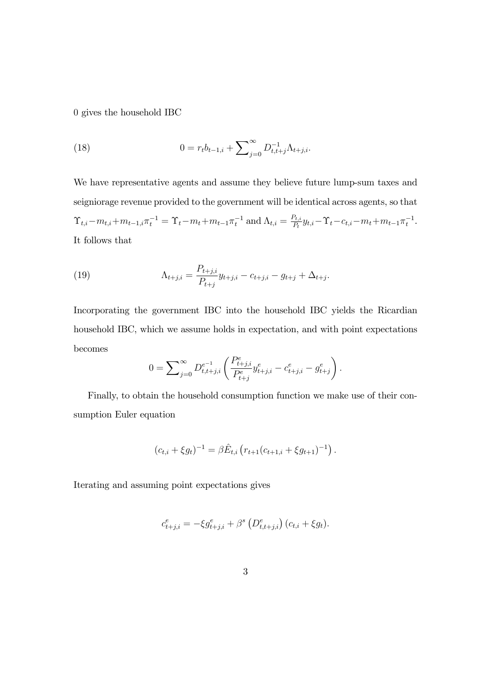0 gives the household IBC

(18) 
$$
0 = r_t b_{t-1,i} + \sum_{j=0}^{\infty} D_{t,t+j}^{-1} \Lambda_{t+j,i}.
$$

We have representative agents and assume they believe future lump-sum taxes and seigniorage revenue provided to the government will be identical across agents, so that  $\Upsilon_{t,i}-m_{t,i}+m_{t-1,i}\pi_t^{-1} = \Upsilon_t-m_t+m_{t-1}\pi_t^{-1}$  and  $\Lambda_{t,i} = \frac{P_{t,i}}{P_t}y_{t,i}-\Upsilon_t-c_{t,i}-m_t+m_{t-1}\pi_t^{-1}$ . It follows that

(19) 
$$
\Lambda_{t+j,i} = \frac{P_{t+j,i}}{P_{t+j}} y_{t+j,i} - c_{t+j,i} - g_{t+j} + \Delta_{t+j}.
$$

Incorporating the government IBC into the household IBC yields the Ricardian household IBC, which we assume holds in expectation, and with point expectations becomes

$$
0 = \sum_{j=0}^{\infty} D_{t,t+j,i}^{e^{-1}} \left( \frac{P_{t+j,i}^e}{P_{t+j}^e} y_{t+j,i}^e - c_{t+j,i}^e - g_{t+j}^e \right).
$$

Finally, to obtain the household consumption function we make use of their consumption Euler equation

$$
(c_{t,i} + \xi g_t)^{-1} = \beta \hat{E}_{t,i} \left( r_{t+1} (c_{t+1,i} + \xi g_{t+1})^{-1} \right).
$$

Iterating and assuming point expectations gives

$$
c_{t+j,i}^e = -\xi g_{t+j,i}^e + \beta^s \left( D_{t,t+j,i}^e \right) (c_{t,i} + \xi g_t).
$$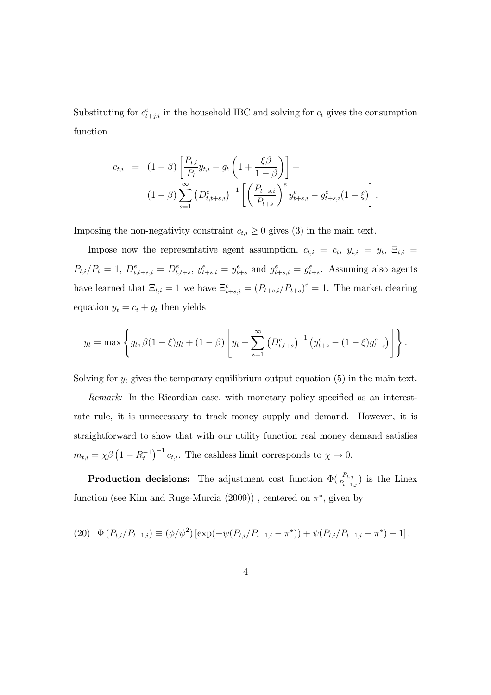Substituting for  $c_{t+j,i}^e$  in the household IBC and solving for  $c_t$  gives the consumption function

$$
c_{t,i} = (1 - \beta) \left[ \frac{P_{t,i}}{P_t} y_{t,i} - g_t \left( 1 + \frac{\xi \beta}{1 - \beta} \right) \right] +
$$
  

$$
(1 - \beta) \sum_{s=1}^{\infty} \left( D_{t,t+s,i}^e \right)^{-1} \left[ \left( \frac{P_{t+s,i}}{P_{t+s}} \right)^e y_{t+s,i}^e - g_{t+s,i}^e (1 - \xi) \right].
$$

Imposing the non-negativity constraint  $c_{t,i} \geq 0$  gives (3) in the main text.

Impose now the representative agent assumption,  $c_{t,i} = c_t$ ,  $y_{t,i} = y_t$ ,  $\Xi_{t,i} =$  $P_{t,i}/P_t = 1$ ,  $D_{t,t+s,i}^e = D_{t,t+s}^e$ ,  $y_{t+s,i}^e = y_{t+s}^e$  and  $g_{t+s,i}^e = g_{t+s}^e$ . Assuming also agents have learned that  $\Xi_{t,i} = 1$  we have  $\Xi_{t+s,i}^e = (P_{t+s,i}/P_{t+s})^e = 1$ . The market clearing equation  $y_t = c_t + g_t$  then yields

$$
y_t = \max\left\{g_t, \beta(1-\xi)g_t + (1-\beta)\left[y_t + \sum_{s=1}^{\infty} \left(D_{t,t+s}^e\right)^{-1} \left(y_{t+s}^e - (1-\xi)g_{t+s}^e\right)\right]\right\}.
$$

Solving for  $y_t$  gives the temporary equilibrium output equation (5) in the main text.

Remark: In the Ricardian case, with monetary policy specified as an interestrate rule, it is unnecessary to track money supply and demand. However, it is straightforward to show that with our utility function real money demand satisfies  $m_{t,i} = \chi \beta \left(1 - R_t^{-1}\right)^{-1} c_{t,i}$ . The cashless limit corresponds to  $\chi \to 0$ .

**Production decisions:** The adjustment cost function  $\Phi(\frac{P_{t,j}}{P_{t-1,j}})$  is the Linex function (see Kim and Ruge-Murcia (2009)), centered on  $\pi^*$ , given by

(20) 
$$
\Phi(P_{t,i}/P_{t-1,i}) \equiv (\phi/\psi^2) \left[ \exp(-\psi(P_{t,i}/P_{t-1,i} - \pi^*)) + \psi(P_{t,i}/P_{t-1,i} - \pi^*) - 1 \right],
$$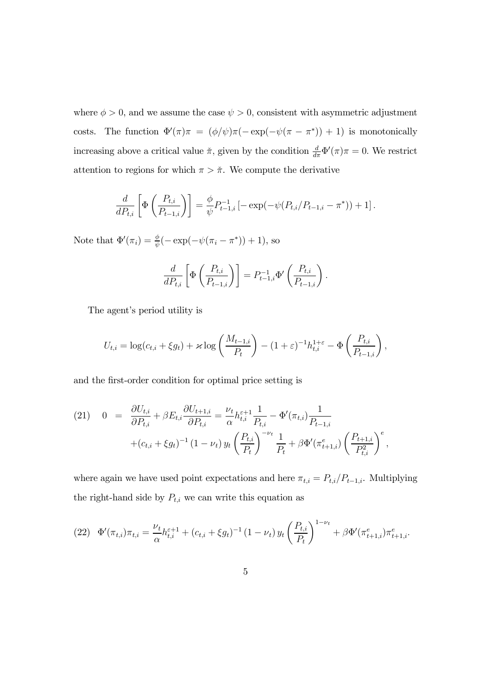where  $\phi > 0$ , and we assume the case  $\psi > 0$ , consistent with asymmetric adjustment costs. The function  $\Phi'(\pi)\pi = (\phi/\psi)\pi(-\exp(-\psi(\pi - \pi^*)) + 1)$  is monotonically increasing above a critical value  $\pi$ , given by the condition  $\frac{d}{d\pi}\Phi'(\pi)\pi = 0$ . We restrict attention to regions for which  $\pi > \tilde{\pi}$ . We compute the derivative

$$
\frac{d}{dP_{t,i}} \left[ \Phi \left( \frac{P_{t,i}}{P_{t-1,i}} \right) \right] = \frac{\phi}{\psi} P_{t-1,i}^{-1} \left[ -\exp(-\psi(P_{t,i}/P_{t-1,i} - \pi^*)) + 1 \right].
$$

Note that  $\Phi'(\pi_i) = \frac{\phi}{\psi}(-\exp(-\psi(\pi_i - \pi^*)) + 1)$ , so

$$
\frac{d}{dP_{t,i}}\left[\Phi\left(\frac{P_{t,i}}{P_{t-1,i}}\right)\right] = P_{t-1,i}^{-1}\Phi'\left(\frac{P_{t,i}}{P_{t-1,i}}\right).
$$

The agent's period utility is

$$
U_{t,i} = \log(c_{t,i} + \xi g_t) + \varkappa \log\left(\frac{M_{t-1,i}}{P_t}\right) - (1+\varepsilon)^{-1} h_{t,i}^{1+\varepsilon} - \Phi\left(\frac{P_{t,i}}{P_{t-1,i}}\right),
$$

and the first-order condition for optimal price setting is

(21) 
$$
0 = \frac{\partial U_{t,i}}{\partial P_{t,i}} + \beta E_{t,i} \frac{\partial U_{t+1,i}}{\partial P_{t,i}} = \frac{\nu_t}{\alpha} h_{t,i}^{\varepsilon+1} \frac{1}{P_{t,i}} - \Phi'(\pi_{t,i}) \frac{1}{P_{t-1,i}} + (c_{t,i} + \xi g_t)^{-1} (1 - \nu_t) y_t \left(\frac{P_{t,i}}{P_t}\right)^{-\nu_t} \frac{1}{P_t} + \beta \Phi'(\pi_{t+1,i}^e) \left(\frac{P_{t+1,i}}{P_{t,i}^2}\right)^e,
$$

where again we have used point expectations and here  $\pi_{t,i} = P_{t,i}/P_{t-1,i}$ . Multiplying the right-hand side by  $P_{t,i}$  we can write this equation as

$$
(22) \quad \Phi'(\pi_{t,i})\pi_{t,i} = \frac{\nu_t}{\alpha} h_{t,i}^{\varepsilon+1} + (c_{t,i} + \xi g_t)^{-1} (1 - \nu_t) y_t \left(\frac{P_{t,i}}{P_t}\right)^{1-\nu_t} + \beta \Phi'(\pi_{t+1,i}^e) \pi_{t+1,i}^e.
$$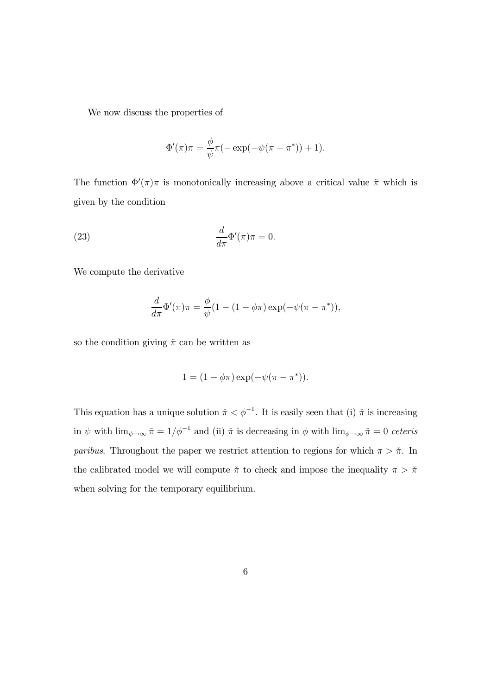We now discuss the properties of

$$
\Phi'(\pi)\pi = \frac{\phi}{\psi}\pi(-\exp(-\psi(\pi - \pi^*)) + 1).
$$

The function  $\Phi'(\pi)\pi$  is monotonically increasing above a critical value  $\check{\pi}$  which is given by the condition

(23) 
$$
\frac{d}{d\pi}\Phi'(\pi)\pi = 0.
$$

We compute the derivative

$$
\frac{d}{d\pi}\Phi'(\pi)\pi = \frac{\phi}{\psi}(1 - (1 - \phi\pi)\exp(-\psi(\pi - \pi^*)),
$$

so the condition giving  $\check{\pi}$  can be written as

$$
1 = (1 - \phi \pi) \exp(-\psi(\pi - \pi^*))
$$

This equation has a unique solution  $\pi < \phi^{-1}$ . It is easily seen that (i)  $\pi$  is increasing in  $\psi$  with  $\lim_{\psi \to \infty} \tilde{\pi} = 1/\phi^{-1}$  and (ii)  $\tilde{\pi}$  is decreasing in  $\phi$  with  $\lim_{\phi \to \infty} \tilde{\pi} = 0$  ceteris *paribus.* Throughout the paper we restrict attention to regions for which  $\pi > \tilde{\pi}$ . In the calibrated model we will compute  $\check{\pi}$  to check and impose the inequality  $\pi > \check{\pi}$ when solving for the temporary equilibrium.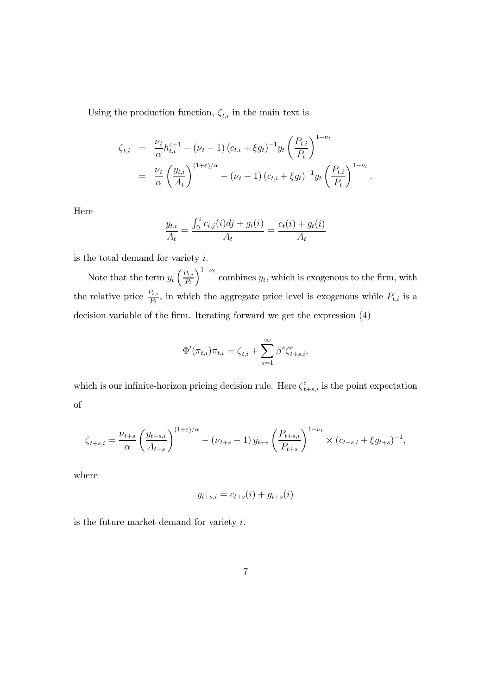Using the production function,  $\zeta_{t,i}$  in the main text is

$$
\zeta_{t,i} = \frac{\nu_t}{\alpha} h_{t,i}^{\varepsilon+1} - (\nu_t - 1) (c_{t,i} + \xi g_t)^{-1} y_t \left( \frac{P_{t,i}}{P_t} \right)^{1-\nu_t}
$$
  
= 
$$
\frac{\nu_t}{\alpha} \left( \frac{y_{t,i}}{A_t} \right)^{(1+\varepsilon)/\alpha} - (\nu_t - 1) (c_{t,i} + \xi g_t)^{-1} y_t \left( \frac{P_{t,i}}{P_t} \right)^{1-\nu_t}.
$$

Here

$$
\frac{y_{t,i}}{A_t} = \frac{\int_0^1 c_{t,j}(i)dj + g_t(i)}{A_t} = \frac{c_t(i) + g_t(i)}{A_t}
$$

is the total demand for variety  $i$ .

Note that the term  $y_t\left(\frac{P_{t,i}}{P_t}\right)$  $P_t$  $\int_{0}^{1-\nu_t}$  combines  $y_t$ , which is exogenous to the firm, with the relative price  $\frac{P_{t,i}}{P_t}$ , in which the aggregate price level is exogenous while  $P_{t,i}$  is a decision variable of the firm. Iterating forward we get the expression (4)

$$
\Phi'(\pi_{t,i})\pi_{t,i} = \zeta_{t,i} + \sum_{s=1}^{\infty} \beta^s \zeta_{t+s,i}^e,
$$

which is our infinite-horizon pricing decision rule. Here  $\zeta_{t+s,i}^e$  is the point expectation of

$$
\zeta_{t+s,i} = \frac{\nu_{t+s}}{\alpha} \left( \frac{y_{t+s,i}}{A_{t+s}} \right)^{(1+\varepsilon)/\alpha} - (\nu_{t+s} - 1) y_{t+s} \left( \frac{P_{t+s,i}}{P_{t+s}} \right)^{1-\nu_t} \times (c_{t+s,i} + \xi g_{t+s})^{-1},
$$

where

$$
y_{t+s,i} = c_{t+s}(i) + g_{t+s}(i)
$$

is the future market demand for variety  $i$ .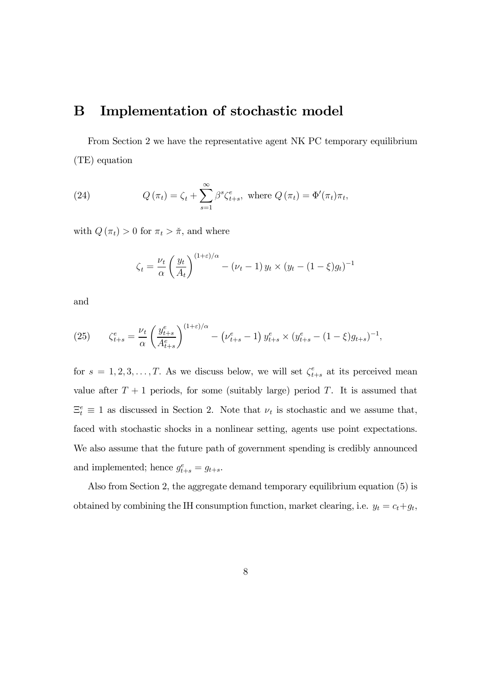### B Implementation of stochastic model

From Section 2 we have the representative agent NK PC temporary equilibrium (TE) equation

(24) 
$$
Q(\pi_t) = \zeta_t + \sum_{s=1}^{\infty} \beta^s \zeta_{t+s}^e, \text{ where } Q(\pi_t) = \Phi'(\pi_t) \pi_t,
$$

with  $Q(\pi_t) > 0$  for  $\pi_t > \tilde{\pi}$ , and where

$$
\zeta_t = \frac{\nu_t}{\alpha} \left(\frac{y_t}{A_t}\right)^{(1+\varepsilon)/\alpha} - (\nu_t - 1) y_t \times (y_t - (1-\xi)g_t)^{-1}
$$

and

(25) 
$$
\zeta_{t+s}^e = \frac{\nu_t}{\alpha} \left( \frac{y_{t+s}^e}{A_{t+s}^e} \right)^{(1+\varepsilon)/\alpha} - \left( \nu_{t+s}^e - 1 \right) y_{t+s}^e \times (y_{t+s}^e - (1-\xi)g_{t+s})^{-1},
$$

for  $s = 1, 2, 3, \ldots, T$ . As we discuss below, we will set  $\zeta_{t+s}^e$  at its perceived mean value after  $T + 1$  periods, for some (suitably large) period T. It is assumed that  $\Xi_t^e \equiv 1$  as discussed in Section 2. Note that  $\nu_t$  is stochastic and we assume that, faced with stochastic shocks in a nonlinear setting, agents use point expectations. We also assume that the future path of government spending is credibly announced and implemented; hence  $g_{t+s}^e = g_{t+s}$ .

Also from Section 2, the aggregate demand temporary equilibrium equation (5) is obtained by combining the IH consumption function, market clearing, i.e.  $y_t = c_t + g_t$ ,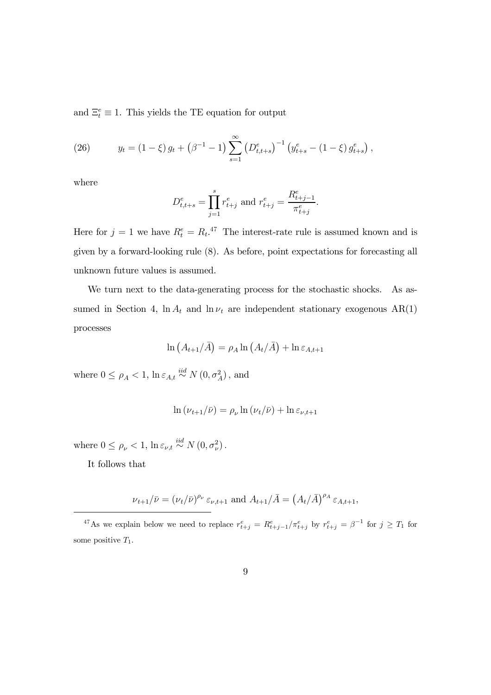and  $\Xi_t^e \equiv 1$ . This yields the TE equation for output

(26) 
$$
y_t = (1 - \xi) g_t + (\beta^{-1} - 1) \sum_{s=1}^{\infty} (D_{t,t+s}^e)^{-1} (y_{t+s}^e - (1 - \xi) g_{t+s}^e),
$$

where

$$
D_{t,t+s}^{e} = \prod_{j=1}^{s} r_{t+j}^{e} \text{ and } r_{t+j}^{e} = \frac{R_{t+j-1}^{e}}{\pi_{t+j}^{e}}.
$$

Here for  $j = 1$  we have  $R_t^e = R_t$ .<sup>47</sup> The interest-rate rule is assumed known and is given by a forward-looking rule (8). As before, point expectations for forecasting all unknown future values is assumed.

We turn next to the data-generating process for the stochastic shocks. As assumed in Section 4,  $\ln A_t$  and  $\ln \nu_t$  are independent stationary exogenous AR(1) processes

$$
\ln\left(A_{t+1}/\bar{A}\right) = \rho_A \ln\left(A_t/\bar{A}\right) + \ln \varepsilon_{A,t+1}
$$

where  $0 \leq \rho_A < 1$ ,  $\ln \varepsilon_{A,t} \stackrel{iid}{\sim} N(0, \sigma_A^2)$ , and

$$
\ln(\nu_{t+1}/\bar{\nu}) = \rho_{\nu} \ln(\nu_t/\bar{\nu}) + \ln \varepsilon_{\nu,t+1}
$$

where  $0 \leq \rho_{\nu} < 1$ ,  $\ln \varepsilon_{\nu,t} \stackrel{iid}{\sim} N(0, \sigma_{\nu}^2)$ .

It follows that

$$
\nu_{t+1}/\bar{\nu} = (\nu_t/\bar{\nu})^{\rho_{\nu}} \varepsilon_{\nu,t+1}
$$
 and  $A_{t+1}/\bar{A} = (A_t/\bar{A})^{\rho_A} \varepsilon_{A,t+1}$ ,

<sup>&</sup>lt;sup>47</sup>As we explain below we need to replace  $r_{t+j}^e = R_{t+j-1}^e / \pi_{t+j}^e$  by  $r_{t+j}^e = \beta^{-1}$  for  $j \ge T_1$  for some positive  $T_1$ .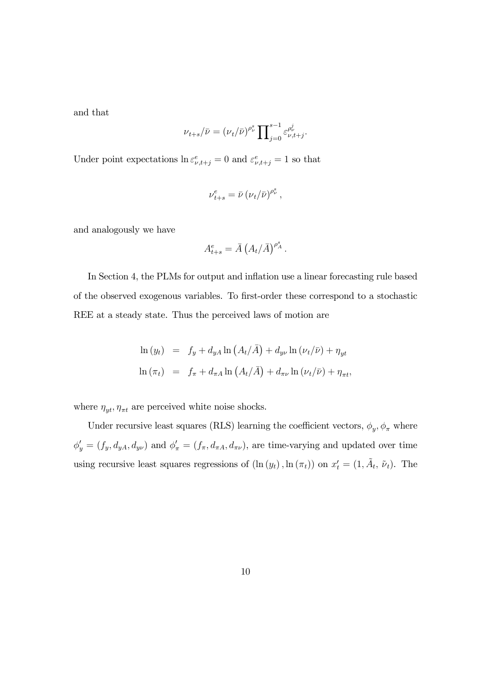and that

$$
\nu_{t+s}/\bar{\nu} = (\nu_t/\bar{\nu})^{\rho_{\nu}^s} \prod_{j=0}^{s-1} \varepsilon_{\nu,t+j}^{\rho_{\nu}^j}.
$$

Under point expectations  $\ln \varepsilon_{\nu,t+j}^e = 0$  and  $\varepsilon_{\nu,t+j}^e = 1$  so that

$$
\nu_{t+s}^e = \bar{\nu} (\nu_t/\bar{\nu})^{\rho_\nu^s} \,,
$$

and analogously we have

$$
A_{t+s}^e = \bar{A} \left( A_t / \bar{A} \right)^{\rho_A^s}.
$$

In Section 4, the PLMs for output and inflation use a linear forecasting rule based of the observed exogenous variables. To first-order these correspond to a stochastic REE at a steady state. Thus the perceived laws of motion are

$$
\ln(y_t) = f_y + d_{yA} \ln(A_t/\bar{A}) + d_{y\nu} \ln(\nu_t/\bar{\nu}) + \eta_{yt}
$$
  

$$
\ln(\pi_t) = f_{\pi} + d_{\pi A} \ln(A_t/\bar{A}) + d_{\pi\nu} \ln(\nu_t/\bar{\nu}) + \eta_{\pi t},
$$

where  $\eta_{yt}, \eta_{\pi t}$  are perceived white noise shocks.

Under recursive least squares (RLS) learning the coefficient vectors,  $\phi_y, \phi_\pi$  where  $\phi'_y = (f_y, d_{yA}, d_{y\nu})$  and  $\phi'_\pi = (f_\pi, d_{\pi A}, d_{\pi\nu})$ , are time-varying and updated over time using recursive least squares regressions of  $(\ln(y_t), \ln(\pi_t))$  on  $x'_t = (1, \tilde{A}_t, \tilde{\nu}_t)$ . The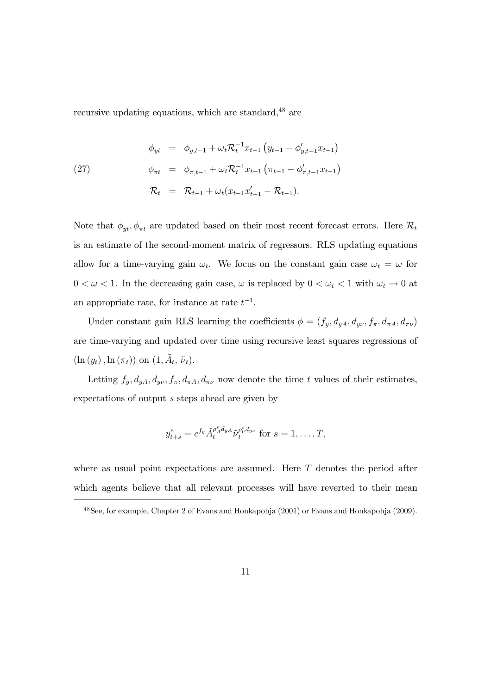recursive updating equations, which are standard,<sup>48</sup> are

(27) 
$$
\begin{array}{rcl}\n\phi_{yt} & = & \phi_{y,t-1} + \omega_t \mathcal{R}_t^{-1} x_{t-1} \left( y_{t-1} - \phi'_{y,t-1} x_{t-1} \right) \\
\phi_{\pi t} & = & \phi_{\pi,t-1} + \omega_t \mathcal{R}_t^{-1} x_{t-1} \left( \pi_{t-1} - \phi'_{\pi,t-1} x_{t-1} \right) \\
\mathcal{R}_t & = & \mathcal{R}_{t-1} + \omega_t (x_{t-1} x'_{t-1} - \mathcal{R}_{t-1}).\n\end{array}
$$

Note that  $\phi_{yt}, \phi_{\pi t}$  are updated based on their most recent forecast errors. Here  $\mathcal{R}_t$ is an estimate of the second-moment matrix of regressors. RLS updating equations allow for a time-varying gain  $\omega_t$ . We focus on the constant gain case  $\omega_t = \omega$  for  $0 < \omega < 1$ . In the decreasing gain case,  $\omega$  is replaced by  $0 < \omega_t < 1$  with  $\omega_t \to 0$  at an appropriate rate, for instance at rate  $t^{-1}$ .

Under constant gain RLS learning the coefficients  $\phi = (f_y, d_{yA}, d_{y\nu}, f_\pi, d_{\pi A}, d_{\pi\nu})$ are time-varying and updated over time using recursive least squares regressions of  $(\ln(y_t), \ln(\pi_t))$  on  $(1, \tilde{A}_t, \tilde{\nu}_t)$ .

Letting  $f_y, d_{yA}, d_{y\nu}, f_\pi, d_{\pi A}, d_{\pi\nu}$  now denote the time t values of their estimates, expectations of output s steps ahead are given by

$$
y_{t+s}^e = e^{f_y} \tilde{A}_t^{\rho_A^s d_{yA}} \tilde{\nu}_t^{\rho_v^s d_{y\nu}} \text{ for } s = 1, \dots, T,
$$

where as usual point expectations are assumed. Here  $T$  denotes the period after which agents believe that all relevant processes will have reverted to their mean

<sup>48</sup>See, for example, Chapter 2 of Evans and Honkapohja (2001) or Evans and Honkapohja (2009).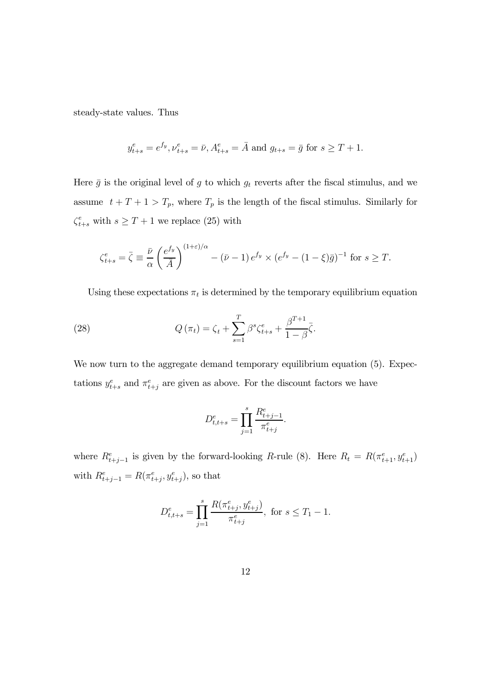steady-state values. Thus

$$
y_{t+s}^e = e^{f_y}, \nu_{t+s}^e = \bar{\nu}, A_{t+s}^e = \bar{A} \text{ and } g_{t+s} = \bar{g} \text{ for } s \ge T+1.
$$

Here  $\bar{g}$  is the original level of g to which  $g_t$  reverts after the fiscal stimulus, and we assume  $t + T + 1 > T_p$ , where  $T_p$  is the length of the fiscal stimulus. Similarly for  $\zeta_{t+s}^e$  with  $s \geq T+1$  we replace (25) with

$$
\zeta_{t+s}^e = \bar{\zeta} \equiv \frac{\bar{\nu}}{\alpha} \left( \frac{e^{f_y}}{\bar{A}} \right)^{(1+\varepsilon)/\alpha} - (\bar{\nu} - 1) e^{f_y} \times (e^{f_y} - (1-\xi)\bar{g})^{-1} \text{ for } s \ge T.
$$

Using these expectations  $\pi_t$  is determined by the temporary equilibrium equation

(28) 
$$
Q(\pi_t) = \zeta_t + \sum_{s=1}^T \beta^s \zeta_{t+s}^e + \frac{\beta^{T+1}}{1-\beta} \bar{\zeta}.
$$

We now turn to the aggregate demand temporary equilibrium equation  $(5)$ . Expectations  $y_{t+s}^e$  and  $\pi_{t+j}^e$  are given as above. For the discount factors we have

$$
D_{t,t+s}^e = \prod_{j=1}^s \frac{R_{t+j-1}^e}{\pi_{t+j}^e}.
$$

where  $R_{t+j-1}^e$  is given by the forward-looking R-rule (8). Here  $R_t = R(\pi_{t+1}^e, y_{t+1}^e)$ with  $R_{t+j-1}^e = R(\pi_{t+j}^e, y_{t+j}^e)$ , so that

$$
D_{t,t+s}^{e} = \prod_{j=1}^{s} \frac{R(\pi_{t+j}^{e}, y_{t+j}^{e})}{\pi_{t+j}^{e}}, \text{ for } s \leq T_1 - 1.
$$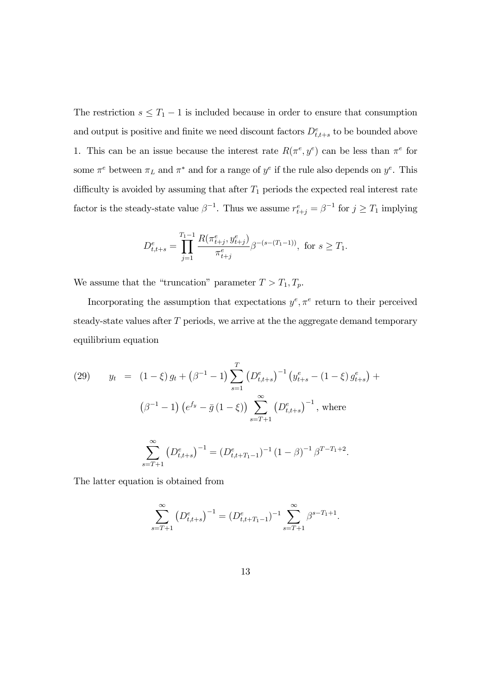The restriction  $s \leq T_1 - 1$  is included because in order to ensure that consumption and output is positive and finite we need discount factors  $D_{t,t+s}^e$  to be bounded above 1. This can be an issue because the interest rate  $R(\pi^e, y^e)$  can be less than  $\pi^e$  for some  $\pi^e$  between  $\pi_L$  and  $\pi^*$  and for a range of  $y^e$  if the rule also depends on  $y^e$ . This difficulty is avoided by assuming that after  $T_1$  periods the expected real interest rate factor is the steady-state value  $\beta^{-1}$ . Thus we assume  $r_{t+j}^e = \beta^{-1}$  for  $j \geq T_1$  implying

$$
D_{t,t+s}^{e} = \prod_{j=1}^{T_1-1} \frac{R(\pi_{t+j}^{e}, y_{t+j}^{e})}{\pi_{t+j}^{e}} \beta^{-(s-(T_1-1))}, \text{ for } s \ge T_1.
$$

We assume that the "truncation" parameter  $T > T_1, T_p$ .

Incorporating the assumption that expectations  $y^e, \pi^e$  return to their perceived steady-state values after T periods, we arrive at the the aggregate demand temporary equilibrium equation

(29) 
$$
y_t = (1 - \xi) g_t + (\beta^{-1} - 1) \sum_{s=1}^T (D_{t,t+s}^e)^{-1} (y_{t+s}^e - (1 - \xi) g_{t+s}^e) +
$$

$$
(\beta^{-1} - 1) (e^{f_y} - \bar{g} (1 - \xi)) \sum_{s=T+1}^{\infty} (D_{t,t+s}^e)^{-1}, \text{ where}
$$

$$
\sum_{s=T+1}^{\infty} (D_{t,t+s}^e)^{-1} = (D_{t,t+T_1-1}^e)^{-1} (1 - \beta)^{-1} \beta^{T-T_1+2}.
$$

The latter equation is obtained from

$$
\sum_{s=T+1}^{\infty} (D_{t,t+s}^e)^{-1} = (D_{t,t+T_1-1}^e)^{-1} \sum_{s=T+1}^{\infty} \beta^{s-T_1+1}.
$$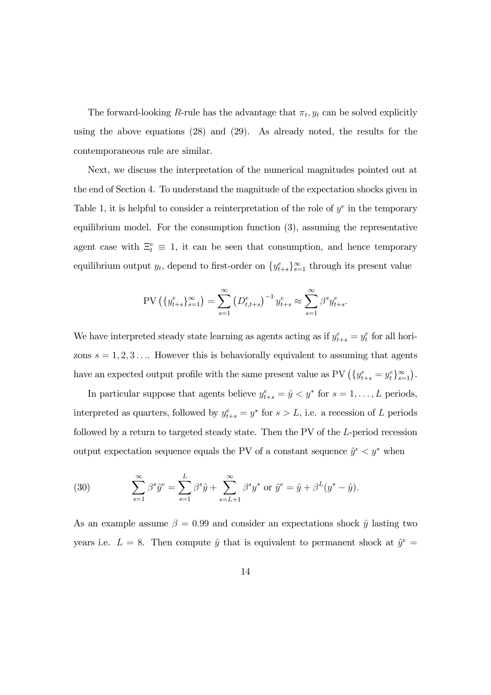The forward-looking R-rule has the advantage that  $\pi_t, y_t$  can be solved explicitly using the above equations (28) and (29). As already noted, the results for the contemporaneous rule are similar.

Next, we discuss the interpretation of the numerical magnitudes pointed out at the end of Section 4. To understand the magnitude of the expectation shocks given in Table 1, it is helpful to consider a reinterpretation of the role of  $y^e$  in the temporary equilibrium model. For the consumption function (3), assuming the representative agent case with  $\Xi_t^e \equiv 1$ , it can be seen that consumption, and hence temporary equilibrium output  $y_t$ , depend to first-order on  $\{y_{t+s}^e\}_{s=1}^{\infty}$  through its present value

$$
PV\left(\{y_{t+s}^e\}_{s=1}^{\infty}\right) = \sum_{s=1}^{\infty} \left(D_{t,t+s}^e\right)^{-1} y_{t+s}^e \approx \sum_{s=1}^{\infty} \beta^s y_{t+s}^e.
$$

We have interpreted steady state learning as agents acting as if  $y_{t+s}^e = y_t^e$  for all horizons  $s = 1, 2, 3, \ldots$  However this is behaviorally equivalent to assuming that agents have an expected output profile with the same present value as  $PV \left( \{y_{t+s}^e = y_t^e\}_{s=1}^{\infty} \right)$ .

In particular suppose that agents believe  $y_{t+s}^e = \hat{y} < y^*$  for  $s = 1, \ldots, L$  periods, interpreted as quarters, followed by  $y_{t+s}^e = y^*$  for  $s > L$ , i.e. a recession of L periods followed by a return to targeted steady state. Then the PV of the L-period recession output expectation sequence equals the PV of a constant sequence  $\tilde{y}^e < y^*$  when

(30) 
$$
\sum_{s=1}^{\infty} \beta^s \tilde{y}^e = \sum_{s=1}^{L} \beta^s \hat{y} + \sum_{s=L+1}^{\infty} \beta^s y^* \text{ or } \tilde{y}^e = \hat{y} + \beta^L (y^* - \hat{y}).
$$

As an example assume  $\beta = 0.99$  and consider an expectations shock  $\hat{y}$  lasting two years i.e.  $L = 8$ . Then compute  $\hat{y}$  that is equivalent to permanent shock at  $\tilde{y}^e$  =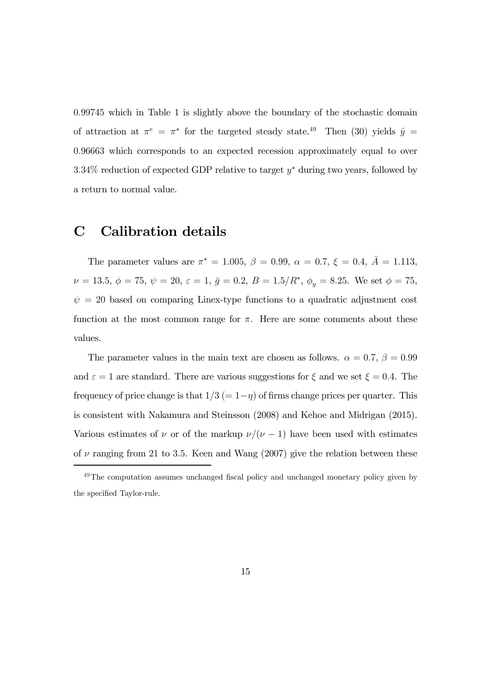0.99745 which in Table 1 is slightly above the boundary of the stochastic domain of attraction at  $\pi^e = \pi^*$  for the targeted steady state.<sup>49</sup> Then (30) yields  $\hat{y} =$ 0.96663 which corresponds to an expected recession approximately equal to over 3.34% reduction of expected GDP relative to target y<sup>∗</sup> during two years, followed by a return to normal value.

### C Calibration details

The parameter values are  $\pi^* = 1.005$ ,  $\beta = 0.99$ ,  $\alpha = 0.7$ ,  $\xi = 0.4$ ,  $\bar{A} = 1.113$ ,  $\nu = 13.5, \ \phi = 75, \ \psi = 20, \ \varepsilon = 1, \ \bar{g} = 0.2, \ B = 1.5/R^*, \ \phi_y = 8.25.$  We set  $\phi = 75$ ,  $\psi = 20$  based on comparing Linex-type functions to a quadratic adjustment cost function at the most common range for  $\pi$ . Here are some comments about these values.

The parameter values in the main text are chosen as follows.  $\alpha = 0.7, \beta = 0.99$ and  $\varepsilon = 1$  are standard. There are various suggestions for  $\xi$  and we set  $\xi = 0.4$ . The frequency of price change is that  $1/3 (= 1-\eta)$  of firms change prices per quarter. This is consistent with Nakamura and Steinsson (2008) and Kehoe and Midrigan (2015). Various estimates of  $\nu$  or of the markup  $\nu/(\nu - 1)$  have been used with estimates of  $\nu$  ranging from 21 to 3.5. Keen and Wang (2007) give the relation between these

<sup>&</sup>lt;sup>49</sup>The computation assumes unchanged fiscal policy and unchanged monetary policy given by the specified Taylor-rule.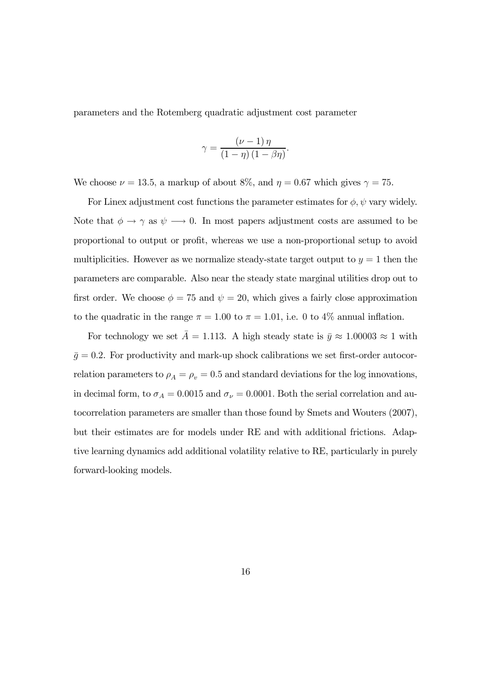parameters and the Rotemberg quadratic adjustment cost parameter

$$
\gamma = \frac{(\nu - 1)\,\eta}{(1 - \eta)\,(1 - \beta\eta)}.
$$

We choose  $\nu = 13.5$ , a markup of about 8%, and  $\eta = 0.67$  which gives  $\gamma = 75$ .

For Linex adjustment cost functions the parameter estimates for  $\phi$ ,  $\psi$  vary widely. Note that  $\phi \to \gamma$  as  $\psi \to 0$ . In most papers adjustment costs are assumed to be proportional to output or profit, whereas we use a non-proportional setup to avoid multiplicities. However as we normalize steady-state target output to  $y = 1$  then the parameters are comparable. Also near the steady state marginal utilities drop out to first order. We choose  $\phi = 75$  and  $\psi = 20$ , which gives a fairly close approximation to the quadratic in the range  $\pi = 1.00$  to  $\pi = 1.01$ , i.e. 0 to 4% annual inflation.

For technology we set  $\bar{A} = 1.113$ . A high steady state is  $\bar{y} \approx 1.00003 \approx 1$  with  $\bar{g} = 0.2$ . For productivity and mark-up shock calibrations we set first-order autocorrelation parameters to  $\rho_A = \rho_v = 0.5$  and standard deviations for the log innovations, in decimal form, to  $\sigma_A = 0.0015$  and  $\sigma_{\nu} = 0.0001$ . Both the serial correlation and autocorrelation parameters are smaller than those found by Smets and Wouters (2007), but their estimates are for models under RE and with additional frictions. Adaptive learning dynamics add additional volatility relative to RE, particularly in purely forward-looking models.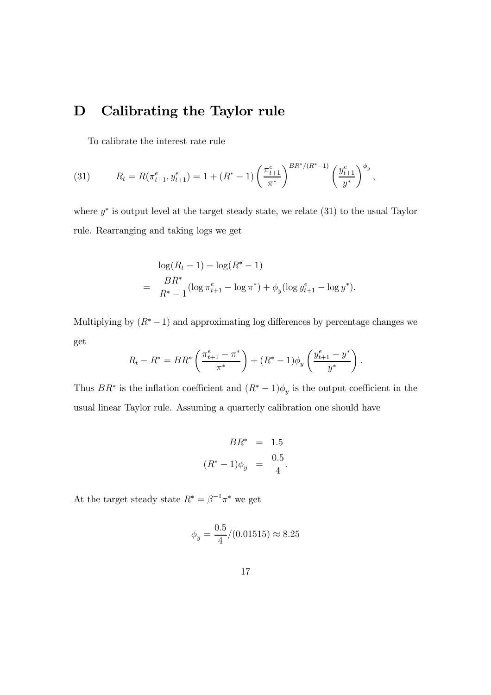### D Calibrating the Taylor rule

To calibrate the interest rate rule

(31) 
$$
R_t = R(\pi_{t+1}^e, y_{t+1}^e) = 1 + (R^* - 1) \left(\frac{\pi_{t+1}^e}{\pi^*}\right)^{BR^*/(R^*-1)} \left(\frac{y_{t+1}^e}{y^*}\right)^{\phi_y},
$$

where  $y^*$  is output level at the target steady state, we relate (31) to the usual Taylor rule. Rearranging and taking logs we get

$$
\log(R_t - 1) - \log(R^* - 1)
$$
  
= 
$$
\frac{BR^*}{R^* - 1} (\log \pi_{t+1}^e - \log \pi^*) + \phi_y (\log y_{t+1}^e - \log y^*).
$$

Multiplying by  $(R<sup>*</sup> - 1)$  and approximating log differences by percentage changes we get

$$
R_t - R^* = BR^* \left( \frac{\pi_{t+1}^e - \pi^*}{\pi^*} \right) + (R^* - 1)\phi_y \left( \frac{y_{t+1}^e - y^*}{y^*} \right).
$$

Thus  $BR^*$  is the inflation coefficient and  $(R^* - 1)\phi_y$  is the output coefficient in the usual linear Taylor rule. Assuming a quarterly calibration one should have

$$
BR^* = 1.5
$$
  

$$
(R^* - 1)\phi_y = \frac{0.5}{4}.
$$

At the target steady state  $R^* = \beta^{-1}\pi^*$  we get

$$
\phi_y = \frac{0.5}{4} / (0.01515) \approx 8.25
$$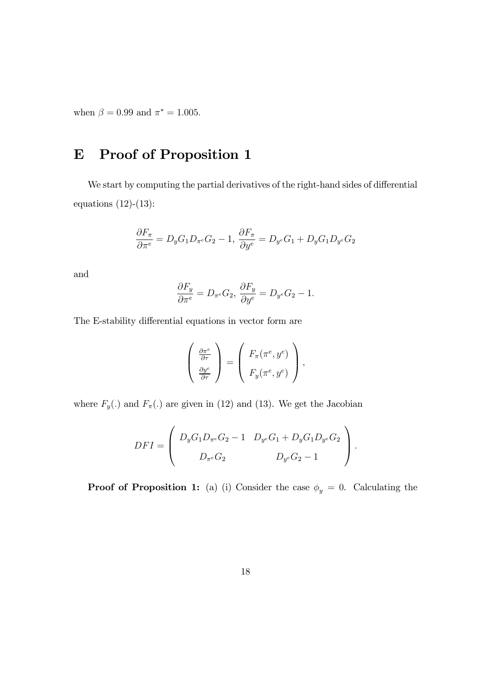when  $\beta = 0.99$  and  $\pi^* = 1.005$ .

## E Proof of Proposition 1

We start by computing the partial derivatives of the right-hand sides of differential equations (12)-(13):

$$
\frac{\partial F_{\pi}}{\partial \pi^{e}}=D_{y}G_{1}D_{\pi^{e}}G_{2}-1, \frac{\partial F_{\pi}}{\partial y^{e}}=D_{y^{e}}G_{1}+D_{y}G_{1}D_{y^{e}}G_{2}
$$

and

$$
\frac{\partial F_y}{\partial \pi^e} = D_{\pi^e} G_2, \frac{\partial F_y}{\partial y^e} = D_{y^e} G_2 - 1.
$$

The E-stability differential equations in vector form are

$$
\begin{pmatrix} \frac{\partial \pi^e}{\partial \tau} \\ \frac{\partial y^e}{\partial \tau} \end{pmatrix} = \begin{pmatrix} F_{\pi}(\pi^e, y^e) \\ F_y(\pi^e, y^e) \end{pmatrix},
$$

where  $F_y(.)$  and  $F_\pi(.)$  are given in (12) and (13). We get the Jacobian

$$
DFI = \left( \begin{array}{cc} D_yG_1D_{\pi^e}G_2 - 1 & D_{y^e}G_1 + D_yG_1D_{y^e}G_2 \\ D_{\pi^e}G_2 & D_{y^e}G_2 - 1 \end{array} \right).
$$

**Proof of Proposition 1:** (a) (i) Consider the case  $\phi_y = 0$ . Calculating the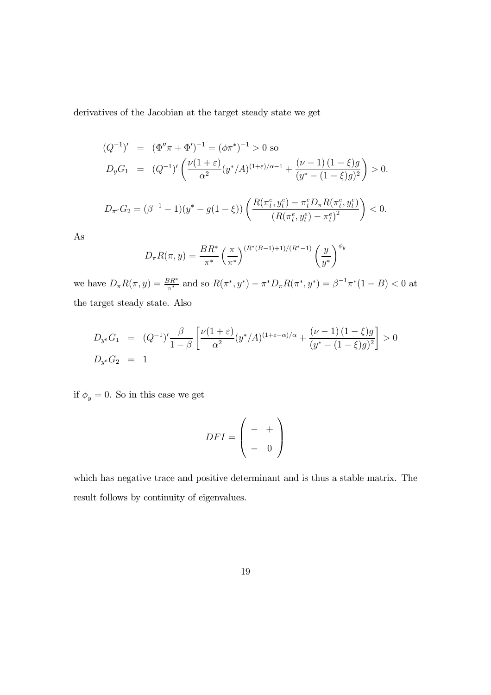derivatives of the Jacobian at the target steady state we get

$$
(Q^{-1})' = (\Phi''\pi + \Phi')^{-1} = (\phi\pi^*)^{-1} > 0 \text{ so}
$$
  
\n
$$
D_y G_1 = (Q^{-1})' \left( \frac{\nu(1+\varepsilon)}{\alpha^2} (y^*/A)^{(1+\varepsilon)/\alpha-1} + \frac{(\nu-1)(1-\xi)g}{(y^* - (1-\xi)g)^2} \right) > 0.
$$
  
\n
$$
D_{\pi^e} G_2 = (\beta^{-1} - 1)(y^* - g(1-\xi)) \left( \frac{R(\pi^e_t, y^e_t) - \pi^e_t D_{\pi} R(\pi^e_t, y^e_t)}{(R(\pi^e_t, y^e_t) - \pi^e_t)^2} \right) < 0.
$$

As

$$
D_{\pi}R(\pi, y) = \frac{BR^*}{\pi^*} \left(\frac{\pi}{\pi^*}\right)^{(R^*(B-1)+1)/(R^*-1)} \left(\frac{y}{y^*}\right)^{\phi_y}
$$

we have  $D_{\pi}R(\pi, y) = \frac{BR^*}{\pi^*}$  and so  $R(\pi^*, y^*) - \pi^*D_{\pi}R(\pi^*, y^*) = \beta^{-1}\pi^*(1 - B) < 0$  at the target steady state. Also

$$
D_{y^e}G_1 = (Q^{-1})' \frac{\beta}{1-\beta} \left[ \frac{\nu(1+\varepsilon)}{\alpha^2} (y^*/A)^{(1+\varepsilon-\alpha)/\alpha} + \frac{(\nu-1)(1-\xi)g}{(y^*-(1-\xi)g)^2} \right] > 0
$$
  

$$
D_{y^e}G_2 = 1
$$

if  $\phi_y = 0$ . So in this case we get

$$
DFI = \left(\begin{array}{cc} - & + \\ - & 0 \end{array}\right)
$$

which has negative trace and positive determinant and is thus a stable matrix. The result follows by continuity of eigenvalues.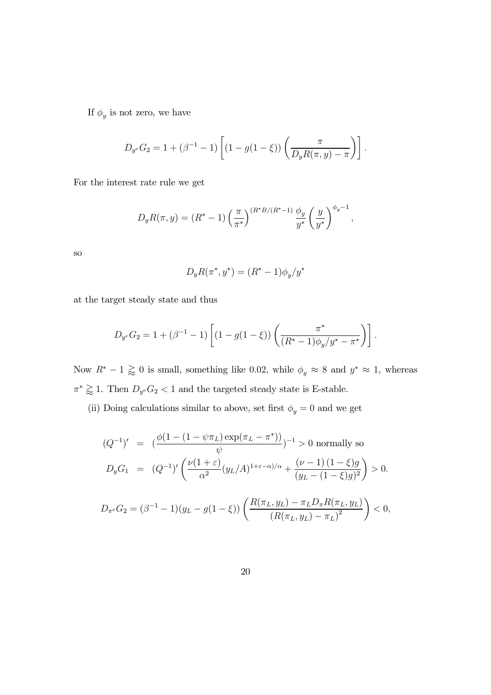If  $\phi_y$  is not zero, we have

$$
D_{y^e} G_2 = 1 + (\beta^{-1} - 1) \left[ (1 - g(1 - \xi)) \left( \frac{\pi}{D_y R(\pi, y) - \pi} \right) \right].
$$

For the interest rate rule we get

$$
D_y R(\pi, y) = (R^* - 1) \left(\frac{\pi}{\pi^*}\right)^{(R^*B/(R^*-1))} \frac{\phi_y}{y^*} \left(\frac{y}{y^*}\right)^{\phi_y - 1},
$$

so

$$
D_y R(\pi^*, y^*) = (R^* - 1)\phi_y/y^*
$$

at the target steady state and thus

$$
D_{y} G_2 = 1 + (\beta^{-1} - 1) \left[ (1 - g(1 - \xi)) \left( \frac{\pi^*}{(R^* - 1)\phi_y/y^* - \pi^*} \right) \right].
$$

Now  $R^* - 1 \gtrapprox 0$  is small, something like 0.02, while  $\phi_y \approx 8$  and  $y^* \approx 1$ , whereas  $\pi^* \gtrapprox 1.$  Then  $D_{y^e}G_2 < 1$  and the targeted steady state is E-stable.

(ii) Doing calculations similar to above, set first  $\phi_y=0$  and we get

$$
(Q^{-1})' = \left(\frac{\phi(1 - (1 - \psi \pi_L) \exp(\pi_L - \pi^*))}{\psi}\right)^{-1} > 0 \text{ normally so}
$$
  

$$
D_y G_1 = (Q^{-1})' \left(\frac{\nu(1+\varepsilon)}{\alpha^2} (y_L/A)^{1+\varepsilon-\alpha)/\alpha} + \frac{(\nu-1)(1-\xi)g}{(y_L - (1-\xi)g)^2}\right) > 0.
$$

$$
D_{\pi^e} G_2 = (\beta^{-1} - 1)(y_L - g(1 - \xi)) \left( \frac{R(\pi_L, y_L) - \pi_L D_{\pi} R(\pi_L, y_L)}{(R(\pi_L, y_L) - \pi_L)^2} \right) < 0,
$$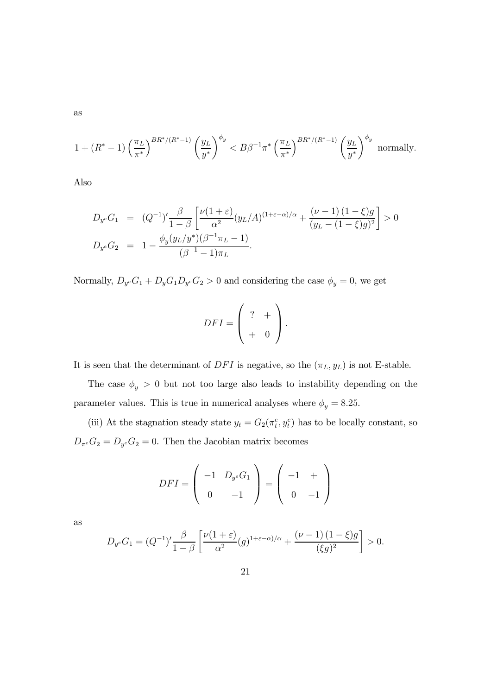as

$$
1 + (R^* - 1) \left(\frac{\pi_L}{\pi^*}\right)^{BR^*/(R^*-1)} \left(\frac{y_L}{y^*}\right)^{\phi_y} < B\beta^{-1}\pi^* \left(\frac{\pi_L}{\pi^*}\right)^{BR^*/(R^*-1)} \left(\frac{y_L}{y^*}\right)^{\phi_y} \text{ normally.}
$$

Also

$$
D_{y^{e}}G_{1} = (Q^{-1})' \frac{\beta}{1-\beta} \left[ \frac{\nu(1+\varepsilon)}{\alpha^{2}} (y_{L}/A)^{(1+\varepsilon-\alpha)/\alpha} + \frac{(\nu-1)(1-\xi)g}{(y_{L}-(1-\xi)g)^{2}} \right] > 0
$$
  

$$
D_{y^{e}}G_{2} = 1 - \frac{\phi_{y}(y_{L}/y^{*})(\beta^{-1}\pi_{L}-1)}{(\beta^{-1}-1)\pi_{L}}.
$$

Normally,  $D_{y}eG_1 + D_yG_1D_{y}eG_2 > 0$  and considering the case  $\phi_y = 0$ , we get

$$
DFI = \left(\begin{array}{cc} ? & + \\ + & 0 \end{array}\right).
$$

It is seen that the determinant of  $DFI$  is negative, so the  $(\pi_L, y_L)$  is not E-stable.

The case  $\phi_y > 0$  but not too large also leads to instability depending on the parameter values. This is true in numerical analyses where  $\phi_y = 8.25$ .

(iii) At the stagnation steady state  $y_t = G_2(\pi_t^e, y_t^e)$  has to be locally constant, so  $D_{\pi^e}G_2 = D_{y^e}G_2 = 0$ . Then the Jacobian matrix becomes

$$
DFI = \left(\begin{array}{cc} -1 & D_{y^e}G_1 \\ 0 & -1 \end{array}\right) = \left(\begin{array}{cc} -1 & + \\ 0 & -1 \end{array}\right)
$$

as

$$
D_{y^e}G_1 = (Q^{-1})' \frac{\beta}{1-\beta} \left[ \frac{\nu(1+\varepsilon)}{\alpha^2} (g)^{1+\varepsilon-\alpha)/\alpha} + \frac{(\nu-1)(1-\xi)g}{(\xi g)^2} \right] > 0.
$$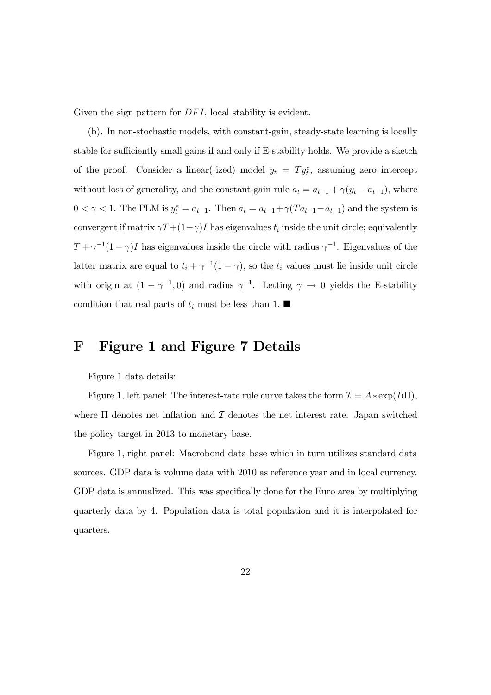Given the sign pattern for  $DFI$ , local stability is evident.

(b). In non-stochastic models, with constant-gain, steady-state learning is locally stable for sufficiently small gains if and only if E-stability holds. We provide a sketch of the proof. Consider a linear (-ized) model  $y_t = Ty_t^e$ , assuming zero intercept without loss of generality, and the constant-gain rule  $a_t = a_{t-1} + \gamma(y_t - a_{t-1})$ , where  $0 < \gamma < 1$ . The PLM is  $y_t^e = a_{t-1}$ . Then  $a_t = a_{t-1} + \gamma (Ta_{t-1} - a_{t-1})$  and the system is convergent if matrix  $\gamma T + (1-\gamma)I$  has eigenvalues  $t_i$  inside the unit circle; equivalently  $T + \gamma^{-1}(1-\gamma)I$  has eigenvalues inside the circle with radius  $\gamma^{-1}$ . Eigenvalues of the latter matrix are equal to  $t_i + \gamma^{-1}(1 - \gamma)$ , so the  $t_i$  values must lie inside unit circle with origin at  $(1 - \gamma^{-1}, 0)$  and radius  $\gamma^{-1}$ . Letting  $\gamma \to 0$  yields the E-stability condition that real parts of  $t_i$  must be less than 1.

### F Figure 1 and Figure 7 Details

Figure 1 data details:

Figure 1, left panel: The interest-rate rule curve takes the form  $\mathcal{I} = A * \exp(B\Pi)$ , where  $\Pi$  denotes net inflation and  $\mathcal I$  denotes the net interest rate. Japan switched the policy target in 2013 to monetary base.

Figure 1, right panel: Macrobond data base which in turn utilizes standard data sources. GDP data is volume data with 2010 as reference year and in local currency. GDP data is annualized. This was specifically done for the Euro area by multiplying quarterly data by 4. Population data is total population and it is interpolated for quarters.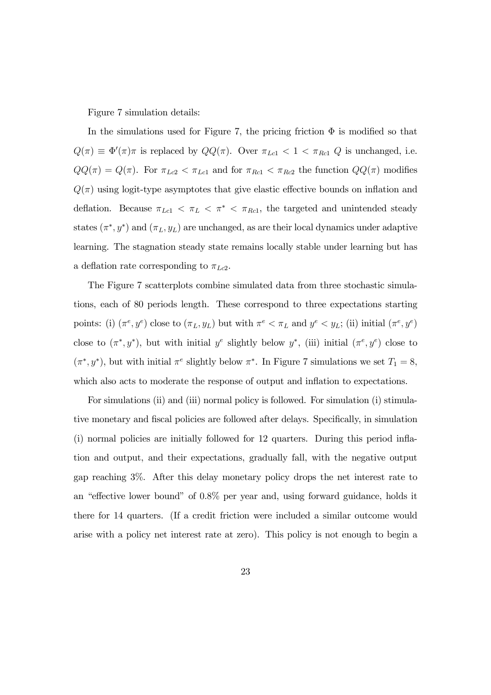#### Figure 7 simulation details:

In the simulations used for Figure 7, the pricing friction  $\Phi$  is modified so that  $Q(\pi) \equiv \Phi'(\pi)\pi$  is replaced by  $QQ(\pi)$ . Over  $\pi_{Lc1} < 1 < \pi_{Rc1}$  Q is unchanged, i.e.  $QQ(\pi) = Q(\pi)$ . For  $\pi_{Lc2} < \pi_{Lc1}$  and for  $\pi_{Rc1} < \pi_{Rc2}$  the function  $QQ(\pi)$  modifies  $Q(\pi)$  using logit-type asymptotes that give elastic effective bounds on inflation and deflation. Because  $\pi_{Lc1} < \pi_L < \pi^* < \pi_{Rc1}$ , the targeted and unintended steady states  $(\pi^*, y^*)$  and  $(\pi_L, y_L)$  are unchanged, as are their local dynamics under adaptive learning. The stagnation steady state remains locally stable under learning but has a deflation rate corresponding to  $\pi_{Lc2}$ .

The Figure 7 scatterplots combine simulated data from three stochastic simulations, each of 80 periods length. These correspond to three expectations starting points: (i)  $(\pi^e, y^e)$  close to  $(\pi_L, y_L)$  but with  $\pi^e < \pi_L$  and  $y^e < y_L$ ; (ii) initial  $(\pi^e, y^e)$ close to  $(\pi^*, y^*)$ , but with initial  $y^e$  slightly below  $y^*$ , (iii) initial  $(\pi^e, y^e)$  close to  $(\pi^*, y^*)$ , but with initial  $\pi^e$  slightly below  $\pi^*$ . In Figure 7 simulations we set  $T_1 = 8$ , which also acts to moderate the response of output and inflation to expectations.

For simulations (ii) and (iii) normal policy is followed. For simulation (i) stimulative monetary and fiscal policies are followed after delays. Specifically, in simulation (i) normal policies are initially followed for 12 quarters. During this period inflation and output, and their expectations, gradually fall, with the negative output gap reaching 3%. After this delay monetary policy drops the net interest rate to an "effective lower bound" of 0.8% per year and, using forward guidance, holds it there for 14 quarters. (If a credit friction were included a similar outcome would arise with a policy net interest rate at zero). This policy is not enough to begin a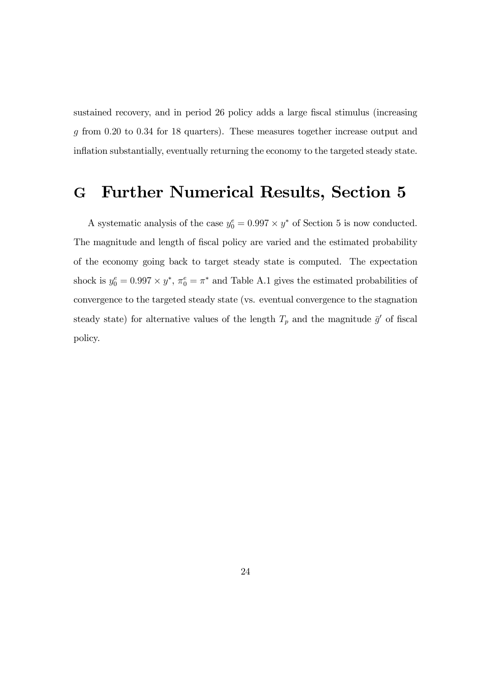sustained recovery, and in period 26 policy adds a large fiscal stimulus (increasing g from 0.20 to 0.34 for 18 quarters). These measures together increase output and inflation substantially, eventually returning the economy to the targeted steady state.

## G Further Numerical Results, Section 5

A systematic analysis of the case  $y_0^e = 0.997 \times y^*$  of Section 5 is now conducted. The magnitude and length of fiscal policy are varied and the estimated probability of the economy going back to target steady state is computed. The expectation shock is  $y_0^e = 0.997 \times y^*$ ,  $\pi_0^e = \pi^*$  and Table A.1 gives the estimated probabilities of convergence to the targeted steady state (vs. eventual convergence to the stagnation steady state) for alternative values of the length  $T_p$  and the magnitude  $\bar{g}'$  of fiscal policy.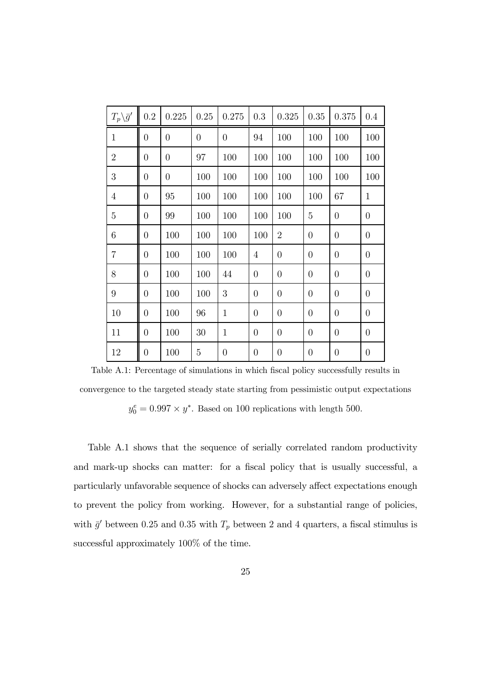| $T_p \backslash \bar{g}'$ | 0.2            | 0.225          | 0.25             | 0.275            | 0.3            | $0.325\,$      | 0.35           | 0.375            | 0.4              |
|---------------------------|----------------|----------------|------------------|------------------|----------------|----------------|----------------|------------------|------------------|
| $\mathbf{1}$              | $\overline{0}$ | $\overline{0}$ | $\boldsymbol{0}$ | $\boldsymbol{0}$ | 94             | 100            | 100            | 100              | 100              |
| $\overline{2}$            | $\overline{0}$ | $\overline{0}$ | 97               | 100              | 100            | 100            | 100            | 100              | 100              |
| $\sqrt{3}$                | $\overline{0}$ | $\overline{0}$ | 100              | 100              | 100            | 100            | 100            | 100              | 100              |
| $\overline{4}$            | $\overline{0}$ | 95             | 100              | 100              | 100            | 100            | 100            | 67               | $\mathbf{1}$     |
| $\overline{5}$            | $\overline{0}$ | 99             | 100              | 100              | 100            | 100            | 5              | $\overline{0}$   | $\overline{0}$   |
| 6                         | $\overline{0}$ | 100            | 100              | 100              | 100            | $\overline{2}$ | $\theta$       | $\overline{0}$   | $\overline{0}$   |
| $\overline{7}$            | $\overline{0}$ | 100            | 100              | 100              | $\overline{4}$ | $\overline{0}$ | $\overline{0}$ | $\overline{0}$   | $\boldsymbol{0}$ |
| 8                         | $\overline{0}$ | 100            | 100              | 44               | $\overline{0}$ | $\overline{0}$ | $\theta$       | $\overline{0}$   | $\boldsymbol{0}$ |
| $9\phantom{.}$            | $\theta$       | 100            | 100              | $\boldsymbol{3}$ | $\overline{0}$ | $\overline{0}$ | $\theta$       | $\overline{0}$   | $\boldsymbol{0}$ |
| 10                        | $\overline{0}$ | 100            | 96               | $\mathbf{1}$     | $\theta$       | $\overline{0}$ | $\overline{0}$ | $\boldsymbol{0}$ | $\overline{0}$   |
| 11                        | $\overline{0}$ | 100            | 30               | $\mathbf{1}$     | $\overline{0}$ | $\overline{0}$ | $\overline{0}$ | $\overline{0}$   | $\overline{0}$   |
| 12                        | $\overline{0}$ | 100            | $\overline{5}$   | $\overline{0}$   | $\theta$       | $\overline{0}$ | $\overline{0}$ | $\boldsymbol{0}$ | $\overline{0}$   |

Table A.1: Percentage of simulations in which fiscal policy successfully results in convergence to the targeted steady state starting from pessimistic output expectations  $y_0^e = 0.997 \times y^*$ . Based on 100 replications with length 500.

Table A.1 shows that the sequence of serially correlated random productivity and mark-up shocks can matter: for a fiscal policy that is usually successful, a particularly unfavorable sequence of shocks can adversely affect expectations enough to prevent the policy from working. However, for a substantial range of policies, with  $\bar{g}'$  between 0.25 and 0.35 with  $T_p$  between 2 and 4 quarters, a fiscal stimulus is successful approximately 100% of the time.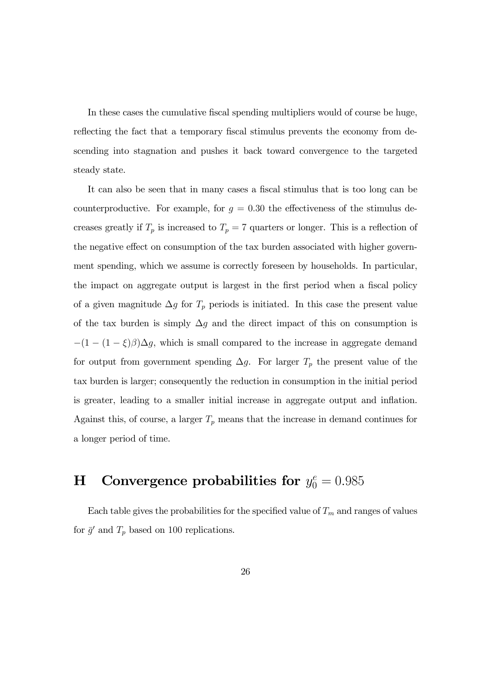In these cases the cumulative fiscal spending multipliers would of course be huge, reflecting the fact that a temporary fiscal stimulus prevents the economy from descending into stagnation and pushes it back toward convergence to the targeted steady state.

It can also be seen that in many cases a fiscal stimulus that is too long can be counterproductive. For example, for  $g = 0.30$  the effectiveness of the stimulus decreases greatly if  $T_p$  is increased to  $T_p = 7$  quarters or longer. This is a reflection of the negative effect on consumption of the tax burden associated with higher government spending, which we assume is correctly foreseen by households. In particular, the impact on aggregate output is largest in the first period when a fiscal policy of a given magnitude  $\Delta g$  for  $T_p$  periods is initiated. In this case the present value of the tax burden is simply  $\Delta g$  and the direct impact of this on consumption is  $-(1 - (1 - \xi)\beta)\Delta g$ , which is small compared to the increase in aggregate demand for output from government spending  $\Delta g$ . For larger  $T_p$  the present value of the tax burden is larger; consequently the reduction in consumption in the initial period is greater, leading to a smaller initial increase in aggregate output and inflation. Against this, of course, a larger  $T_p$  means that the increase in demand continues for a longer period of time.

## H Convergence probabilities for  $y_0^e = 0.985$

Each table gives the probabilities for the specified value of  $T_m$  and ranges of values for  $\bar{g}'$  and  $T_p$  based on 100 replications.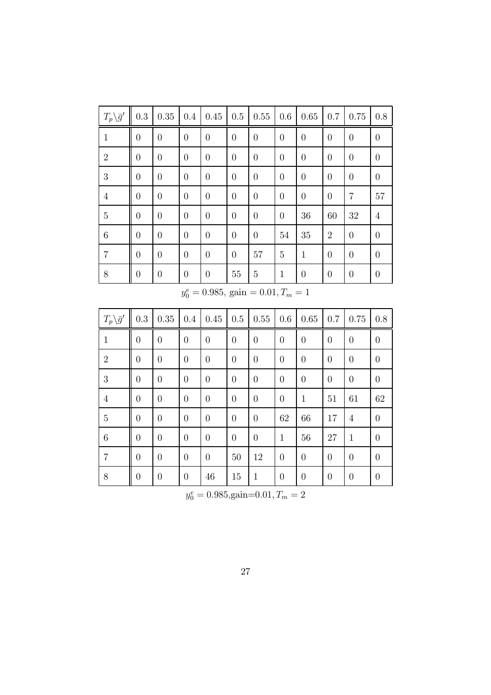| $T_p \backslash \bar{g}'$ | $\rm 0.3$        | $0.35\,$         | 0.4              | 0.45             | $0.5\,$          | 0.55                                     | 0.6              | 0.65             | 0.7              | $0.75\,$         | $0.8\,$          |
|---------------------------|------------------|------------------|------------------|------------------|------------------|------------------------------------------|------------------|------------------|------------------|------------------|------------------|
| $\mathbf{1}$              | $\boldsymbol{0}$ | $\boldsymbol{0}$ | $\boldsymbol{0}$ | $\boldsymbol{0}$ | $\boldsymbol{0}$ | $\boldsymbol{0}$                         | $\boldsymbol{0}$ | $\boldsymbol{0}$ | $\boldsymbol{0}$ | $\boldsymbol{0}$ | $\boldsymbol{0}$ |
| $\overline{2}$            | $\boldsymbol{0}$ | $\boldsymbol{0}$ | $\overline{0}$   | $\boldsymbol{0}$ | $\boldsymbol{0}$ | $\boldsymbol{0}$                         | $\overline{0}$   | $\boldsymbol{0}$ | $\overline{0}$   | $\overline{0}$   | $\boldsymbol{0}$ |
| 3                         | $\boldsymbol{0}$ | $\boldsymbol{0}$ | $\overline{0}$   | $\boldsymbol{0}$ | $\boldsymbol{0}$ | $\boldsymbol{0}$                         | $\overline{0}$   | $\boldsymbol{0}$ | $\overline{0}$   | $\boldsymbol{0}$ | $\boldsymbol{0}$ |
| $\overline{4}$            | $\boldsymbol{0}$ | $\boldsymbol{0}$ | $\boldsymbol{0}$ | $\boldsymbol{0}$ | $\theta$         | $\boldsymbol{0}$                         | $\theta$         | $\boldsymbol{0}$ | $\boldsymbol{0}$ | $\overline{7}$   | 57               |
| $\overline{5}$            | $\boldsymbol{0}$ | $\boldsymbol{0}$ | $\boldsymbol{0}$ | $\boldsymbol{0}$ | $\boldsymbol{0}$ | $\boldsymbol{0}$                         | $\boldsymbol{0}$ | $36\,$           | 60               | 32               | $\overline{4}$   |
| $\,6\,$                   | $\boldsymbol{0}$ | $\boldsymbol{0}$ | $\overline{0}$   | $\boldsymbol{0}$ | $\theta$         | $\boldsymbol{0}$                         | 54               | $35\,$           | $\sqrt{2}$       | $\boldsymbol{0}$ | $\boldsymbol{0}$ |
| $\overline{7}$            | $\boldsymbol{0}$ | $\boldsymbol{0}$ | $\theta$         | $\boldsymbol{0}$ | $\boldsymbol{0}$ | $57\,$                                   | $\overline{5}$   | $\mathbf{1}$     | $\boldsymbol{0}$ | $\boldsymbol{0}$ | $\boldsymbol{0}$ |
| 8                         | $\boldsymbol{0}$ | $\boldsymbol{0}$ | $\boldsymbol{0}$ | $\boldsymbol{0}$ | $55\,$           | $\bf 5$                                  | $\mathbf{1}$     | $\boldsymbol{0}$ | $\boldsymbol{0}$ | $\boldsymbol{0}$ | $\boldsymbol{0}$ |
|                           |                  |                  |                  |                  |                  | $y_0^e = 0.985$ , gain = 0.01, $T_m = 1$ |                  |                  |                  |                  |                  |
|                           |                  |                  |                  |                  |                  |                                          |                  |                  |                  |                  |                  |
| $T_p \backslash \bar{g}'$ | 0.3              | 0.35             | 0.4              | 0.45             | 0.5              | 0.55                                     | 0.6              | 0.65             | 0.7              | 0.75             | $0.8\,$          |
| $\mathbf{1}$              | $\overline{0}$   | $\overline{0}$   | $\overline{0}$   | $\overline{0}$   | $\overline{0}$   | $\overline{0}$                           | $\overline{0}$   | $\overline{0}$   | $\overline{0}$   | $\overline{0}$   | $\boldsymbol{0}$ |
| $\overline{2}$            | $\boldsymbol{0}$ | $\boldsymbol{0}$ | $\boldsymbol{0}$ | $\boldsymbol{0}$ | $\boldsymbol{0}$ | $\boldsymbol{0}$                         | $\boldsymbol{0}$ | $\boldsymbol{0}$ | $\boldsymbol{0}$ | $\boldsymbol{0}$ | $\boldsymbol{0}$ |
| 3                         | $\boldsymbol{0}$ | $\overline{0}$   | $\boldsymbol{0}$ | $\boldsymbol{0}$ | $\boldsymbol{0}$ | $\boldsymbol{0}$                         | $\boldsymbol{0}$ | $\overline{0}$   | $\boldsymbol{0}$ | $\boldsymbol{0}$ | $\overline{0}$   |
| $\overline{4}$            | $\boldsymbol{0}$ | $\boldsymbol{0}$ | $\boldsymbol{0}$ | $\boldsymbol{0}$ | $\boldsymbol{0}$ | $\boldsymbol{0}$                         | $\boldsymbol{0}$ | $\,1$            | 51               | 61               | 62               |
| $\overline{5}$            | $\boldsymbol{0}$ | $\boldsymbol{0}$ | $\boldsymbol{0}$ | $\boldsymbol{0}$ | $\boldsymbol{0}$ | $\boldsymbol{0}$                         | 62               | 66               | 17               | $\overline{4}$   | $\boldsymbol{0}$ |
| $\,6$                     | $\boldsymbol{0}$ | $\boldsymbol{0}$ | $\boldsymbol{0}$ | $\boldsymbol{0}$ | $\boldsymbol{0}$ | $\boldsymbol{0}$                         | $\mathbf{1}$     | $56\,$           | 27               | $\mathbf{1}$     | $\boldsymbol{0}$ |
| $\overline{7}$            | $\boldsymbol{0}$ | $\boldsymbol{0}$ | $\boldsymbol{0}$ | $\boldsymbol{0}$ | $50\,$           | 12                                       | $\boldsymbol{0}$ | $\boldsymbol{0}$ | $\boldsymbol{0}$ | $\boldsymbol{0}$ | $\boldsymbol{0}$ |

 $y_0^e = 0.985, \text{gain}=0.01, T_m = 2$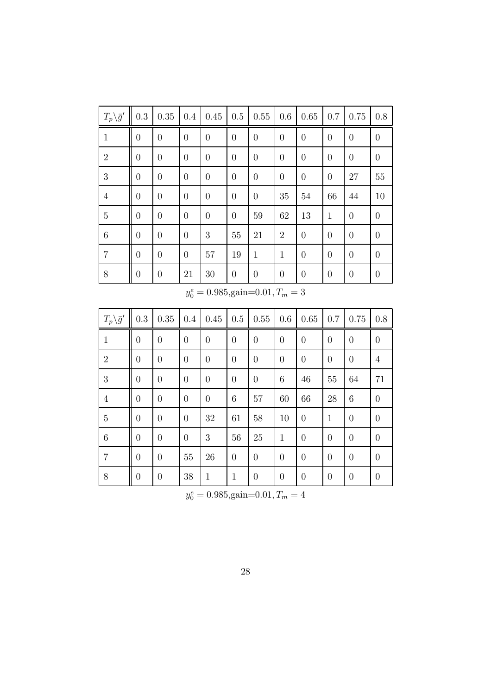| $T_p \backslash \bar{g}'$ | 0.3            | 0.35           | $0.4\,$        | 0.45     | 0.5            | 0.55             | 0.6              | 0.65             | 0.7            | 0.75             | 0.8            |
|---------------------------|----------------|----------------|----------------|----------|----------------|------------------|------------------|------------------|----------------|------------------|----------------|
| $\mathbf{1}$              | $\overline{0}$ | $\overline{0}$ | $\overline{0}$ | $\theta$ | $\overline{0}$ | $\theta$         | $\overline{0}$   | $\boldsymbol{0}$ | $\overline{0}$ | $\theta$         | $\overline{0}$ |
| $\overline{2}$            | $\theta$       | $\overline{0}$ | $\theta$       | $\theta$ | $\overline{0}$ | $\boldsymbol{0}$ | $\theta$         | $\boldsymbol{0}$ | $\theta$       | $\boldsymbol{0}$ | $\overline{0}$ |
| 3                         | $\theta$       | $\overline{0}$ | $\overline{0}$ | $\theta$ | $\overline{0}$ | $\boldsymbol{0}$ | $\boldsymbol{0}$ | $\overline{0}$   | $\overline{0}$ | 27               | 55             |
| $\overline{4}$            | $\overline{0}$ | $\theta$       | $\theta$       | $\theta$ | $\theta$       | $\boldsymbol{0}$ | 35               | 54               | 66             | 44               | 10             |
| $\bf 5$                   | $\theta$       | $\overline{0}$ | $\overline{0}$ | $\theta$ | $\overline{0}$ | 59               | 62               | 13               | $\mathbf{1}$   | $\boldsymbol{0}$ | $\theta$       |
| $6\phantom{.}6$           | $\overline{0}$ | $\theta$       | $\overline{0}$ | 3        | 55             | 21               | $\overline{2}$   | $\overline{0}$   | $\overline{0}$ | $\overline{0}$   | $\overline{0}$ |
| $\overline{7}$            | $\overline{0}$ | $\overline{0}$ | $\overline{0}$ | 57       | 19             | 1                | $\mathbf{1}$     | $\overline{0}$   | $\overline{0}$ | $\overline{0}$   | $\theta$       |
| 8                         | $\theta$       | $\overline{0}$ | 21             | 30       | $\overline{0}$ | $\theta$         | $\overline{0}$   | $\boldsymbol{0}$ | $\theta$       | $\theta$         | $\overline{0}$ |

 $y_0^e = 0.985, \text{gain}=0.01, T_m = 3$ 

| $T_p\backslash \bar{g}'$ | 0.3              | 0.35           | 0.4            | 0.45             | 0.5            | 0.55             | 0.6            | 0.65             | 0.7            | 0.75           | 0.8            |
|--------------------------|------------------|----------------|----------------|------------------|----------------|------------------|----------------|------------------|----------------|----------------|----------------|
| $\mathbf{1}$             | $\overline{0}$   | $\theta$       | $\overline{0}$ | $\boldsymbol{0}$ | $\overline{0}$ | $\overline{0}$   | $\overline{0}$ | $\theta$         | $\theta$       | $\theta$       | $\overline{0}$ |
| $\overline{2}$           | $\overline{0}$   | $\theta$       | $\overline{0}$ | $\boldsymbol{0}$ | $\overline{0}$ | $\overline{0}$   | $\overline{0}$ | $\overline{0}$   | $\theta$       | $\overline{0}$ | $\overline{4}$ |
| 3                        | $\overline{0}$   | $\overline{0}$ | $\overline{0}$ | $\overline{0}$   | $\overline{0}$ | $\overline{0}$   | 6              | 46               | 55             | 64             | 71             |
| $\overline{4}$           | $\overline{0}$   | $\overline{0}$ | $\overline{0}$ | $\overline{0}$   | 6              | 57               | 60             | 66               | 28             | 6              | $\overline{0}$ |
| 5                        | $\overline{0}$   | $\overline{0}$ | $\overline{0}$ | 32               | 61             | 58               | 10             | $\overline{0}$   | $\mathbf{1}$   | $\overline{0}$ | $\overline{0}$ |
| 6                        | $\overline{0}$   | $\overline{0}$ | $\overline{0}$ | 3                | 56             | 25               | $\mathbf{1}$   | $\overline{0}$   | $\overline{0}$ | $\theta$       | $\overline{0}$ |
| $\overline{7}$           | $\overline{0}$   | $\overline{0}$ | $55\,$         | 26               | $\theta$       | $\overline{0}$   | $\overline{0}$ | $\overline{0}$   | $\overline{0}$ | $\overline{0}$ | $\overline{0}$ |
| 8                        | $\boldsymbol{0}$ | $\theta$       | 38             | $\mathbf{1}$     | $\mathbf{1}$   | $\boldsymbol{0}$ | $\theta$       | $\boldsymbol{0}$ | $\theta$       | $\theta$       | $\overline{0}$ |

 $y_0^e = 0.985, \text{gain}=0.01, T_m = 4$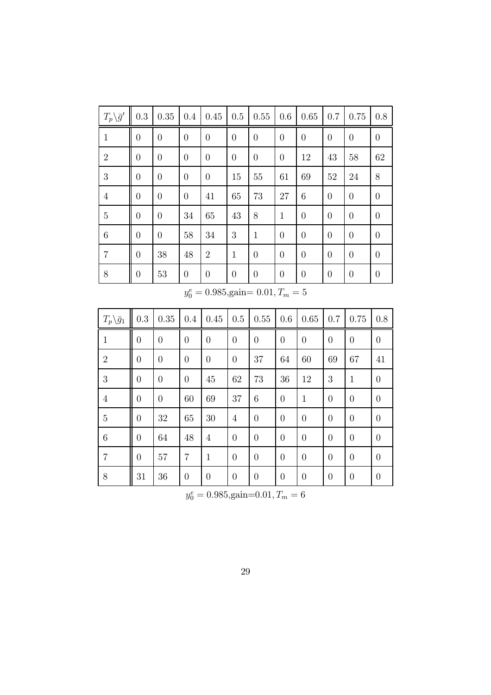| $T_p \backslash \bar{g}'$ | 0.3            | 0.35     | $0.4\,$        | 0.45             | 0.5            | 0.55           | 0.6            | 0.65           | 0.7            | 0.75             | 0.8            |
|---------------------------|----------------|----------|----------------|------------------|----------------|----------------|----------------|----------------|----------------|------------------|----------------|
| $\mathbf{1}$              | $\theta$       | $\theta$ | $\theta$       | $\boldsymbol{0}$ | $\theta$       | $\theta$       | $\overline{0}$ | $\theta$       | $\theta$       | $\theta$         | $\theta$       |
| $\overline{2}$            | $\overline{0}$ | $\theta$ | $\overline{0}$ | $\boldsymbol{0}$ | $\theta$       | $\overline{0}$ | $\overline{0}$ | 12             | 43             | 58               | 62             |
| 3                         | $\overline{0}$ | $\theta$ | $\overline{0}$ | $\overline{0}$   | 15             | 55             | 61             | 69             | 52             | 24               | 8              |
| $\overline{4}$            | $\overline{0}$ | $\theta$ | $\theta$       | 41               | 65             | 73             | 27             | 6              | $\overline{0}$ | $\overline{0}$   | $\theta$       |
| $\overline{5}$            | $\overline{0}$ | $\theta$ | 34             | 65               | 43             | 8              | $\mathbf{1}$   | $\overline{0}$ | $\theta$       | $\overline{0}$   | $\overline{0}$ |
| 6                         | $\theta$       | $\theta$ | 58             | 34               | 3              | $\mathbf{1}$   | $\overline{0}$ | $\theta$       | $\overline{0}$ | $\overline{0}$   | $\overline{0}$ |
| $\overline{7}$            | $\overline{0}$ | 38       | 48             | $\overline{2}$   | $\mathbf{1}$   | $\overline{0}$ | $\theta$       | $\theta$       | $\overline{0}$ | $\overline{0}$   | $\overline{0}$ |
| 8                         | $\theta$       | 53       | $\theta$       | $\theta$         | $\overline{0}$ | $\theta$       | $\theta$       | $\theta$       | $\theta$       | $\boldsymbol{0}$ | $\overline{0}$ |

 $y_0^e = 0.985,$ gain=  $0.01, T_m = 5$ 

| $T_p\backslash \bar{g}_1$ | 0.3            | 0.35             | 0.4              | 0.45             | 0.5            | 0.55           | 0.6            | 0.65           | 0.7            | 0.75           | 0.8            |
|---------------------------|----------------|------------------|------------------|------------------|----------------|----------------|----------------|----------------|----------------|----------------|----------------|
| $\mathbf 1$               | $\overline{0}$ | $\overline{0}$   | $\overline{0}$   | $\boldsymbol{0}$ | $\overline{0}$ | $\overline{0}$ | $\overline{0}$ | $\overline{0}$ | $\overline{0}$ | $\theta$       | $\overline{0}$ |
| $\overline{2}$            | $\overline{0}$ | $\boldsymbol{0}$ | $\overline{0}$   | $\overline{0}$   | $\overline{0}$ | 37             | 64             | 60             | 69             | 67             | 41             |
| 3                         | $\overline{0}$ | $\overline{0}$   | $\theta$         | 45               | 62             | 73             | 36             | 12             | 3              | 1              | $\overline{0}$ |
| $\overline{4}$            | $\theta$       | $\overline{0}$   | 60               | 69               | 37             | 6              | $\theta$       | 1              | $\theta$       | $\overline{0}$ | $\theta$       |
| 5                         | $\overline{0}$ | 32               | 65               | 30               | 4              | $\overline{0}$ | $\theta$       | $\overline{0}$ | $\overline{0}$ | $\overline{0}$ | $\theta$       |
| 6                         | $\overline{0}$ | 64               | 48               | 4                | $\theta$       | $\overline{0}$ | $\theta$       | $\overline{0}$ | $\overline{0}$ | $\overline{0}$ | $\theta$       |
| 7                         | $\theta$       | 57               | $\overline{7}$   | $\mathbf{1}$     | $\theta$       | $\theta$       | $\overline{0}$ | $\theta$       | $\theta$       | $\theta$       | $\overline{0}$ |
| 8                         | 31             | 36               | $\boldsymbol{0}$ | $\boldsymbol{0}$ | $\theta$       | $\theta$       | $\theta$       | $\overline{0}$ | $\theta$       | $\theta$       | $\theta$       |

 $y_0^e = 0.985, \text{gain}=0.01, T_m = 6$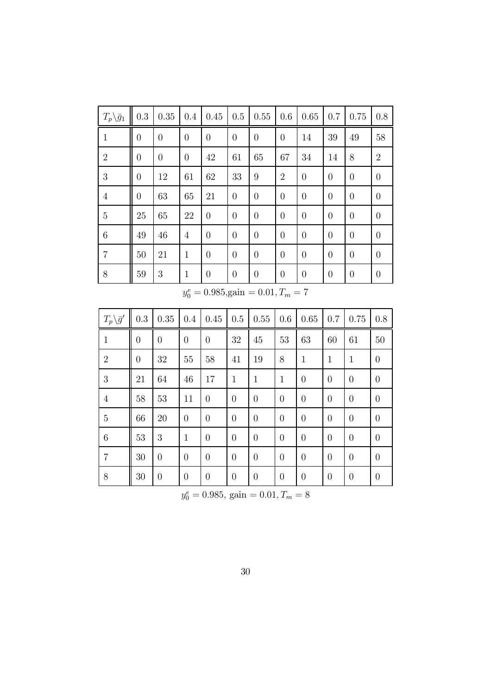| $T_p\backslash \bar{g}_1$ | 0.3      | 0.35           | 0.4            | 0.45           | 0.5              | 0.55           | 0.6            | 0.65           | 0.7      | 0.75             | 0.8            |
|---------------------------|----------|----------------|----------------|----------------|------------------|----------------|----------------|----------------|----------|------------------|----------------|
| $\mathbf{1}$              | $\theta$ | $\theta$       | $\overline{0}$ | $\theta$       | $\overline{0}$   | $\theta$       | $\overline{0}$ | 14             | 39       | 49               | 58             |
| $\overline{2}$            | $\theta$ | $\overline{0}$ | $\theta$       | 42             | 61               | 65             | 67             | 34             | 14       | 8                | $\overline{2}$ |
| 3                         | $\theta$ | 12             | 61             | 62             | 33               | 9              | $\overline{2}$ | $\overline{0}$ | $\theta$ | $\theta$         | $\theta$       |
| $\overline{4}$            | $\theta$ | 63             | 65             | 21             | $\overline{0}$   | $\theta$       | $\theta$       | $\overline{0}$ | $\theta$ | $\theta$         | $\theta$       |
| $\overline{5}$            | 25       | 65             | 22             | $\overline{0}$ | $\overline{0}$   | $\overline{0}$ | $\theta$       | $\overline{0}$ | $\theta$ | $\theta$         | $\overline{0}$ |
| 6                         | 49       | 46             | 4              | $\overline{0}$ | $\overline{0}$   | $\overline{0}$ | $\theta$       | $\overline{0}$ | $\theta$ | $\overline{0}$   | $\overline{0}$ |
| $\overline{7}$            | 50       | 21             | $\mathbf{1}$   | $\overline{0}$ | $\overline{0}$   | $\theta$       | $\theta$       | $\overline{0}$ | $\theta$ | $\overline{0}$   | $\theta$       |
| 8                         | 59       | 3              | $\mathbf 1$    | $\overline{0}$ | $\boldsymbol{0}$ | $\overline{0}$ | $\overline{0}$ | $\theta$       | $\theta$ | $\boldsymbol{0}$ | $\theta$       |

 $y_0^e = 0.985,$ gain =  $0.01, T_m = 7$ 

| $T_p\backslash \bar{g}'$ | 0.3              | 0.35           | 0.4            | 0.45             | 0.5            | 0.55             | 0.6            | 0.65           | 0.7            | 0.75           | 0.8              |
|--------------------------|------------------|----------------|----------------|------------------|----------------|------------------|----------------|----------------|----------------|----------------|------------------|
| $\mathbf{1}$             | $\boldsymbol{0}$ | $\overline{0}$ | $\overline{0}$ | $\overline{0}$   | 32             | 45               | 53             | 63             | 60             | 61             | 50               |
| $\overline{2}$           | $\overline{0}$   | 32             | 55             | 58               | 41             | 19               | 8              | $\mathbf{1}$   | 1              | $\mathbf{1}$   | $\overline{0}$   |
| 3                        | 21               | 64             | 46             | 17               | 1              | $\mathbf{1}$     | $\mathbf{1}$   | $\overline{0}$ | $\overline{0}$ | $\overline{0}$ | $\overline{0}$   |
| $\overline{4}$           | 58               | 53             | 11             | $\theta$         | $\theta$       | $\overline{0}$   | $\theta$       | $\overline{0}$ | $\theta$       | $\theta$       | $\overline{0}$   |
| $\overline{5}$           | 66               | 20             | $\theta$       | $\overline{0}$   | $\theta$       | $\overline{0}$   | $\theta$       | $\overline{0}$ | $\theta$       | $\theta$       | $\theta$         |
| 6                        | 53               | 3              | $\mathbf{1}$   | $\overline{0}$   | $\theta$       | $\overline{0}$   | $\theta$       | $\overline{0}$ | $\theta$       | $\overline{0}$ | $\overline{0}$   |
| $\overline{7}$           | 30               | $\overline{0}$ | $\theta$       | $\overline{0}$   | $\theta$       | $\overline{0}$   | $\theta$       | $\theta$       | $\overline{0}$ | $\overline{0}$ | $\overline{0}$   |
| 8                        | $30\,$           | $\theta$       | $\theta$       | $\boldsymbol{0}$ | $\overline{0}$ | $\boldsymbol{0}$ | $\overline{0}$ | $\theta$       | $\theta$       | $\theta$       | $\boldsymbol{0}$ |

 $y_0^e = 0.985$ , gain  $= 0.01$ ,  $T_m = 8$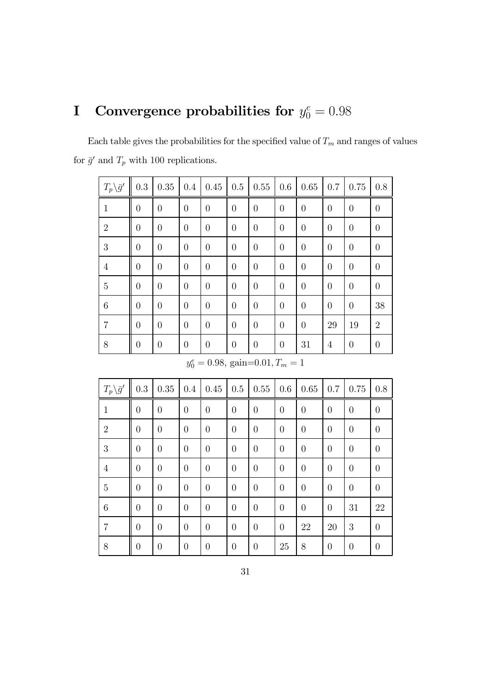## I Convergence probabilities for  $y_0^e = 0.98$

Each table gives the probabilities for the specified value of  $T_m$  and ranges of values for  $\bar{g}^{\prime}$  and  $T_{p}$  with 100 replications.

| $T_p \backslash \bar{g}'$ | 0.3            | 0.35           | 0.4            | 0.45           | 0.5            | 0.55     | 0.6            | 0.65           | 0.7            | 0.75           | 0.8            |
|---------------------------|----------------|----------------|----------------|----------------|----------------|----------|----------------|----------------|----------------|----------------|----------------|
| $\mathbf{1}$              | $\theta$       | $\overline{0}$ | $\overline{0}$ | $\overline{0}$ | $\overline{0}$ | $\theta$ | $\overline{0}$ | $\theta$       | $\overline{0}$ | $\overline{0}$ | $\theta$       |
| $\overline{2}$            | $\overline{0}$ | $\theta$       | $\overline{0}$ | $\overline{0}$ | $\overline{0}$ | $\theta$ | $\overline{0}$ | $\theta$       | $\theta$       | $\overline{0}$ | $\theta$       |
| 3                         | $\overline{0}$ | $\overline{0}$ | $\overline{0}$ | $\theta$       | $\overline{0}$ | $\theta$ | $\overline{0}$ | $\overline{0}$ | $\overline{0}$ | $\overline{0}$ | $\theta$       |
| $\overline{4}$            | $\overline{0}$ | $\overline{0}$ | $\overline{0}$ | $\theta$       | $\overline{0}$ | $\theta$ | $\overline{0}$ | $\theta$       | $\overline{0}$ | $\theta$       | $\theta$       |
| 5                         | $\overline{0}$ | $\overline{0}$ | $\overline{0}$ | $\theta$       | $\overline{0}$ | $\theta$ | $\overline{0}$ | $\overline{0}$ | $\overline{0}$ | $\overline{0}$ | $\theta$       |
| $\boldsymbol{6}$          | $\overline{0}$ | $\overline{0}$ | $\overline{0}$ | $\theta$       | $\overline{0}$ | $\theta$ | $\overline{0}$ | $\theta$       | $\overline{0}$ | $\overline{0}$ | 38             |
| $\overline{7}$            | $\overline{0}$ | $\overline{0}$ | $\overline{0}$ | $\overline{0}$ | $\overline{0}$ | $\theta$ | $\overline{0}$ | $\theta$       | 29             | 19             | $\overline{2}$ |
| $8\,$                     | $\overline{0}$ | $\overline{0}$ | $\overline{0}$ | $\theta$       | $\overline{0}$ | $\theta$ | $\overline{0}$ | 31             | 4              | $\theta$       | $\theta$       |

 $y_0^e = 0.98$ , gain=0.01,  $T_m = 1$ 

| $T_p\backslash \bar{g}'$ | 0.3            | 0.35           | 0.4            | 0.45           | 0.5            | 0.55           | 0.6      | 0.65             | 0.7            | 0.75           | 0.8            |
|--------------------------|----------------|----------------|----------------|----------------|----------------|----------------|----------|------------------|----------------|----------------|----------------|
| $\mathbf{1}$             | $\overline{0}$ | $\theta$       | $\overline{0}$ | $\overline{0}$ | $\overline{0}$ | $\overline{0}$ | $\theta$ | $\overline{0}$   | $\overline{0}$ | $\theta$       | $\overline{0}$ |
| $\overline{2}$           | $\overline{0}$ | $\theta$       | $\theta$       | $\theta$       | $\overline{0}$ | $\theta$       | $\theta$ | $\boldsymbol{0}$ | $\theta$       | $\theta$       | $\overline{0}$ |
| 3                        | $\overline{0}$ | $\overline{0}$ | $\overline{0}$ | $\overline{0}$ | $\overline{0}$ | $\overline{0}$ | $\theta$ | $\overline{0}$   | $\theta$       | $\overline{0}$ | $\overline{0}$ |
| $\overline{4}$           | $\theta$       | $\theta$       | $\theta$       | $\theta$       | $\theta$       | $\theta$       | $\theta$ | $\theta$         | $\theta$       | $\theta$       | $\theta$       |
| 5                        | $\overline{0}$ | $\theta$       | $\overline{0}$ | $\overline{0}$ | $\overline{0}$ | $\overline{0}$ | $\theta$ | $\overline{0}$   | $\theta$       | $\overline{0}$ | $\overline{0}$ |
| 6                        | $\overline{0}$ | $\theta$       | $\theta$       | $\overline{0}$ | $\overline{0}$ | $\theta$       | $\theta$ | $\theta$         | $\theta$       | 31             | 22             |
| $\overline{7}$           | $\overline{0}$ | $\overline{0}$ | $\overline{0}$ | $\overline{0}$ | $\overline{0}$ | $\overline{0}$ | $\theta$ | 22               | 20             | 3              | $\overline{0}$ |
| 8                        | $\theta$       | $\theta$       | $\theta$       | $\theta$       | $\overline{0}$ | $\overline{0}$ | 25       | 8                | $\theta$       | $\theta$       | $\overline{0}$ |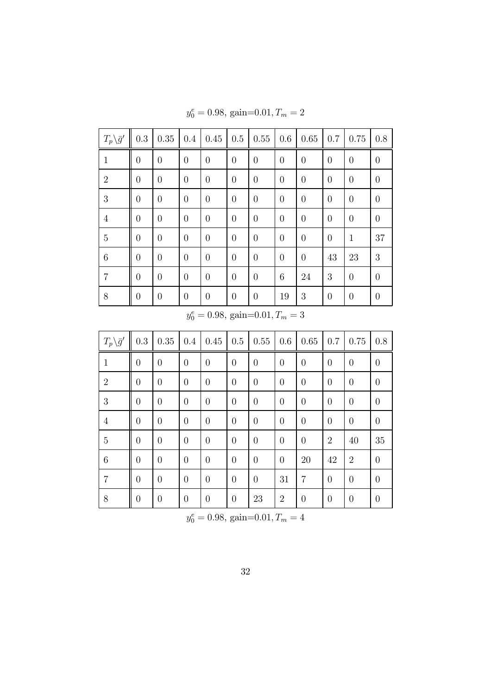| $T_p \backslash \bar{g}'$ | 0.3            | 0.35           | 0.4            | 0.45           | 0.5            | $0.55\,$ | 0.6            | 0.65     | 0.7            | 0.75           | 0.8              |
|---------------------------|----------------|----------------|----------------|----------------|----------------|----------|----------------|----------|----------------|----------------|------------------|
| $\mathbf{1}$              | $\overline{0}$ | $\theta$       | $\overline{0}$ | $\theta$       | $\theta$       | $\theta$ | $\overline{0}$ | $\theta$ | $\overline{0}$ | $\theta$       | $\boldsymbol{0}$ |
| $\mathfrak{2}$            | $\overline{0}$ | $\overline{0}$ | $\overline{0}$ | $\overline{0}$ | $\overline{0}$ | $\theta$ | $\overline{0}$ | $\theta$ | $\overline{0}$ | $\theta$       | $\theta$         |
| 3                         | $\overline{0}$ | $\overline{0}$ | $\overline{0}$ | $\theta$       | $\theta$       | $\theta$ | $\overline{0}$ | $\theta$ | $\overline{0}$ | $\theta$       | $\theta$         |
| $\overline{4}$            | $\theta$       | $\overline{0}$ | $\overline{0}$ | $\overline{0}$ | $\theta$       | $\theta$ | $\overline{0}$ | $\theta$ | $\overline{0}$ | $\theta$       | $\theta$         |
| $\bf 5$                   | $\overline{0}$ | $\overline{0}$ | $\overline{0}$ | $\overline{0}$ | $\overline{0}$ | $\theta$ | $\overline{0}$ | $\theta$ | $\overline{0}$ | $\mathbf{1}$   | 37               |
| $\,6\,$                   | $\overline{0}$ | $\overline{0}$ | $\overline{0}$ | $\overline{0}$ | $\overline{0}$ | $\theta$ | $\overline{0}$ | $\theta$ | 43             | 23             | 3                |
| $\overline{7}$            | $\overline{0}$ | $\overline{0}$ | $\overline{0}$ | $\overline{0}$ | $\overline{0}$ | $\theta$ | 6              | 24       | 3              | $\overline{0}$ | $\theta$         |
| 8                         | $\overline{0}$ | $\overline{0}$ | $\theta$       | $\theta$       | $\theta$       | $\theta$ | 19             | 3        | $\overline{0}$ | $\theta$       | $\theta$         |

 $y_0^e = 0.98$ , gain=0.01,  $T_m = 2$ 

 $y_0^e = 0.98$ , gain=0.01,  $T_m = 3$ 

| $T_p \backslash \bar{g}'$ | 0.3            | $0.35\,$       | 0.4            | 0.45           | 0.5            | $0.55\,$         | 0.6            | 0.65           | 0.7            | 0.75             | 0.8            |
|---------------------------|----------------|----------------|----------------|----------------|----------------|------------------|----------------|----------------|----------------|------------------|----------------|
| $\mathbf{1}$              | $\overline{0}$ | $\overline{0}$ | $\overline{0}$ | $\overline{0}$ | $\overline{0}$ | $\overline{0}$   | $\overline{0}$ | $\overline{0}$ | $\theta$       | $\overline{0}$   | $\overline{0}$ |
| $\sqrt{2}$                | $\overline{0}$ | $\overline{0}$ | $\overline{0}$ | $\overline{0}$ | $\overline{0}$ | $\theta$         | $\overline{0}$ | $\theta$       | $\theta$       | $\theta$         | $\theta$       |
| 3                         | $\overline{0}$ | $\theta$       | $\theta$       | $\overline{0}$ | $\overline{0}$ | $\theta$         | $\theta$       | $\overline{0}$ | $\theta$       | $\overline{0}$   | $\overline{0}$ |
| $\overline{4}$            | $\overline{0}$ | $\overline{0}$ | $\overline{0}$ | $\overline{0}$ | $\theta$       | $\overline{0}$   | $\overline{0}$ | $\overline{0}$ | $\theta$       | $\theta$         | $\overline{0}$ |
| $\overline{5}$            | $\overline{0}$ | $\overline{0}$ | $\overline{0}$ | $\overline{0}$ | $\overline{0}$ | $\boldsymbol{0}$ | $\overline{0}$ | $\theta$       | $\overline{2}$ | 40               | 35             |
| $\boldsymbol{6}$          | $\overline{0}$ | $\overline{0}$ | $\overline{0}$ | $\overline{0}$ | $\overline{0}$ | $\overline{0}$   | $\overline{0}$ | 20             | 42             | $\overline{2}$   | $\overline{0}$ |
| $\overline{7}$            | $\overline{0}$ | $\overline{0}$ | $\overline{0}$ | $\overline{0}$ | $\overline{0}$ | $\boldsymbol{0}$ | 31             | 7              | $\overline{0}$ | $\overline{0}$   | $\overline{0}$ |
| 8                         | $\overline{0}$ | $\theta$       | $\overline{0}$ | $\overline{0}$ | $\theta$       | 23               | $\overline{2}$ | $\overline{0}$ | $\theta$       | $\boldsymbol{0}$ | $\theta$       |

 $y_0^e = 0.98$ , gain=0.01,  $T_m = 4$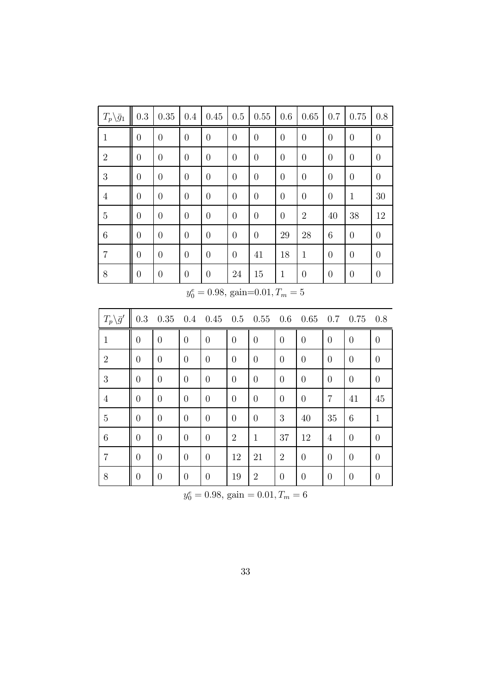| $T_p \backslash \bar{g}_1$            | $\rm 0.3$        | $0.35\,$         | 0.4              | 0.45             | $0.5\,$          | 0.55             | 0.6              | 0.65             | 0.7              | 0.75             | 0.8              |
|---------------------------------------|------------------|------------------|------------------|------------------|------------------|------------------|------------------|------------------|------------------|------------------|------------------|
| $\mathbf{1}$                          | $\boldsymbol{0}$ | $\boldsymbol{0}$ | $\boldsymbol{0}$ | $\overline{0}$   | $\overline{0}$   | $\overline{0}$   | $\boldsymbol{0}$ | $\boldsymbol{0}$ | $\theta$         | $\boldsymbol{0}$ | $\boldsymbol{0}$ |
| $\sqrt{2}$                            | $\overline{0}$   | $\boldsymbol{0}$ | $\boldsymbol{0}$ | $\overline{0}$   | $\boldsymbol{0}$ | $\boldsymbol{0}$ | $\boldsymbol{0}$ | $\boldsymbol{0}$ | $\boldsymbol{0}$ | $\boldsymbol{0}$ | $\overline{0}$   |
| $\boldsymbol{3}$                      | $\boldsymbol{0}$ | $\boldsymbol{0}$ | $\boldsymbol{0}$ | $\overline{0}$   | $\boldsymbol{0}$ | $\boldsymbol{0}$ | $\boldsymbol{0}$ | $\boldsymbol{0}$ | $\boldsymbol{0}$ | $\boldsymbol{0}$ | $\overline{0}$   |
| $\overline{4}$                        | $\overline{0}$   | $\boldsymbol{0}$ | $\boldsymbol{0}$ | $\theta$         | $\boldsymbol{0}$ | $\boldsymbol{0}$ | $\theta$         | $\boldsymbol{0}$ | $\boldsymbol{0}$ | $\mathbf{1}$     | 30               |
| $\bf 5$                               | $\boldsymbol{0}$ | $\boldsymbol{0}$ | $\boldsymbol{0}$ | $\boldsymbol{0}$ | $\boldsymbol{0}$ | $\boldsymbol{0}$ | $\boldsymbol{0}$ | $\sqrt{2}$       | 40               | 38               | 12               |
| $\,6$                                 | $\boldsymbol{0}$ | $\boldsymbol{0}$ | $\boldsymbol{0}$ | $\theta$         | $\boldsymbol{0}$ | $\boldsymbol{0}$ | 29               | 28               | 6                | $\boldsymbol{0}$ | $\overline{0}$   |
| $\,7$                                 | $\boldsymbol{0}$ | $\boldsymbol{0}$ | $\boldsymbol{0}$ | $\theta$         | $\boldsymbol{0}$ | 41               | 18               | $\mathbf{1}$     | $\boldsymbol{0}$ | $\boldsymbol{0}$ | $\boldsymbol{0}$ |
| $8\,$                                 | $\boldsymbol{0}$ | $\boldsymbol{0}$ | $\boldsymbol{0}$ | $\boldsymbol{0}$ | 24               | $15\,$           | $\mathbf{1}$     | $\boldsymbol{0}$ | $\boldsymbol{0}$ | $\boldsymbol{0}$ | $\boldsymbol{0}$ |
| $y_0^e = 0.98$ , gain=0.01, $T_m = 5$ |                  |                  |                  |                  |                  |                  |                  |                  |                  |                  |                  |
|                                       |                  |                  |                  |                  |                  |                  |                  |                  |                  |                  |                  |
| $T_p \backslash \bar{g}'$             | $\rm 0.3$        | 0.35             | $0.4\,$          | 0.45             | 0.5              | 0.55             | 0.6              | 0.65             | 0.7              | 0.75             | 0.8              |
| $\mathbf{1}$                          | $\overline{0}$   | $\overline{0}$   | $\overline{0}$   | $\overline{0}$   | $\boldsymbol{0}$ | $\overline{0}$   | $\overline{0}$   | $\overline{0}$   | $\overline{0}$   | $\overline{0}$   | $\boldsymbol{0}$ |
| $\overline{2}$                        | $\overline{0}$   | $\overline{0}$   | $\overline{0}$   | $\boldsymbol{0}$ | $\overline{0}$   | $\overline{0}$   | $\overline{0}$   | $\overline{0}$   | $\overline{0}$   | $\overline{0}$   | $\boldsymbol{0}$ |
| 3                                     | $\boldsymbol{0}$ | $\overline{0}$   | $\overline{0}$   | $\boldsymbol{0}$ | $\boldsymbol{0}$ | $\overline{0}$   | $\boldsymbol{0}$ | $\overline{0}$   | $\overline{0}$   | $\overline{0}$   | $\boldsymbol{0}$ |
| $\overline{4}$                        | $\boldsymbol{0}$ | $\boldsymbol{0}$ | $\overline{0}$   | $\boldsymbol{0}$ | $\boldsymbol{0}$ | $\boldsymbol{0}$ | $\overline{0}$   | $\boldsymbol{0}$ | $\overline{7}$   | 41               | 45               |
| $\overline{5}$                        | $\boldsymbol{0}$ | $\boldsymbol{0}$ | $\boldsymbol{0}$ | $\boldsymbol{0}$ | $\boldsymbol{0}$ | $\overline{0}$   | $\boldsymbol{3}$ | 40               | 35               | $\,6$            | $\mathbf{1}$     |
| $\,6$                                 | $\boldsymbol{0}$ | $\boldsymbol{0}$ | $\overline{0}$   | $\boldsymbol{0}$ | $\sqrt{2}$       | $\mathbf{1}$     | 37               | 12               | $\overline{4}$   | $\boldsymbol{0}$ | $\boldsymbol{0}$ |
| $\overline{7}$                        | $\boldsymbol{0}$ | $\boldsymbol{0}$ | $\boldsymbol{0}$ | $\boldsymbol{0}$ | 12               | 21               | $\overline{2}$   | $\boldsymbol{0}$ | $\boldsymbol{0}$ | $\boldsymbol{0}$ | $\boldsymbol{0}$ |

 $y_0^e = 0.98$ , gain  $= 0.01$ ,  $T_m = 6$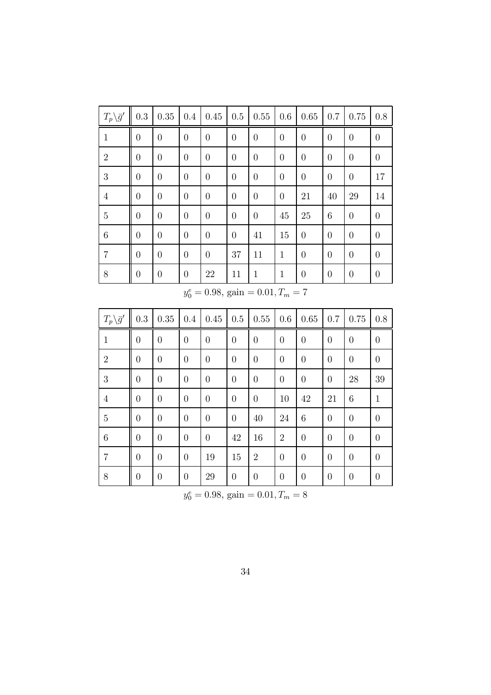| $T_p \backslash \bar{g}'$               | $\rm 0.3$        | $0.35\,$         | 0.4              | 0.45             | $0.5\,$          | 0.55             | 0.6              | $0.65\,$         | $0.7\,$          | $0.75\,$         | $0.8\,$          |
|-----------------------------------------|------------------|------------------|------------------|------------------|------------------|------------------|------------------|------------------|------------------|------------------|------------------|
| $\mathbf{1}$                            | $\boldsymbol{0}$ | $\boldsymbol{0}$ | $\boldsymbol{0}$ | $\boldsymbol{0}$ | $\boldsymbol{0}$ | $\boldsymbol{0}$ | $\boldsymbol{0}$ | $\boldsymbol{0}$ | $\theta$         | $\boldsymbol{0}$ | $\boldsymbol{0}$ |
| $\overline{2}$                          | $\boldsymbol{0}$ | $\boldsymbol{0}$ | $\overline{0}$   | $\boldsymbol{0}$ | $\boldsymbol{0}$ | $\overline{0}$   | $\boldsymbol{0}$ | $\boldsymbol{0}$ | $\overline{0}$   | $\boldsymbol{0}$ | $\boldsymbol{0}$ |
| 3                                       | $\boldsymbol{0}$ | $\boldsymbol{0}$ | $\overline{0}$   | $\boldsymbol{0}$ | $\boldsymbol{0}$ | $\boldsymbol{0}$ | $\boldsymbol{0}$ | $\boldsymbol{0}$ | $\overline{0}$   | $\boldsymbol{0}$ | 17               |
| $\overline{4}$                          | $\boldsymbol{0}$ | $\boldsymbol{0}$ | $\overline{0}$   | $\boldsymbol{0}$ | $\boldsymbol{0}$ | $\boldsymbol{0}$ | $\boldsymbol{0}$ | 21               | 40               | 29               | 14               |
| $\overline{5}$                          | $\boldsymbol{0}$ | $\boldsymbol{0}$ | $\boldsymbol{0}$ | $\boldsymbol{0}$ | $\boldsymbol{0}$ | $\boldsymbol{0}$ | 45               | $25\,$           | $\!6\,$          | $\boldsymbol{0}$ | $\boldsymbol{0}$ |
| $\,6\,$                                 | $\boldsymbol{0}$ | $\boldsymbol{0}$ | $\overline{0}$   | $\boldsymbol{0}$ | $\boldsymbol{0}$ | 41               | 15               | $\boldsymbol{0}$ | $\overline{0}$   | $\boldsymbol{0}$ | $\overline{0}$   |
| $\overline{7}$                          | $\boldsymbol{0}$ | $\boldsymbol{0}$ | $\overline{0}$   | $\boldsymbol{0}$ | 37               | 11               | $\mathbf{1}$     | $\boldsymbol{0}$ | $\theta$         | $\boldsymbol{0}$ | $\overline{0}$   |
| $8\,$                                   | $\boldsymbol{0}$ | $\boldsymbol{0}$ | $\overline{0}$   | $22\,$           | 11               | $\mathbf{1}$     | $\mathbf{1}$     | $\boldsymbol{0}$ | $\theta$         | $\boldsymbol{0}$ | $\boldsymbol{0}$ |
| $y_0^e = 0.98$ , gain = 0.01, $T_m = 7$ |                  |                  |                  |                  |                  |                  |                  |                  |                  |                  |                  |
|                                         |                  |                  |                  |                  |                  |                  |                  |                  |                  |                  |                  |
| $T_p \backslash \bar{g}'$               | 0.3              | 0.35             | 0.4              | 0.45             | $0.5\,$          | 0.55             | $0.6\,$          | 0.65             | 0.7              | 0.75             | 0.8              |
| $\,1$                                   | $\boldsymbol{0}$ | $\boldsymbol{0}$ | $\boldsymbol{0}$ | $\boldsymbol{0}$ | $\boldsymbol{0}$ | $\boldsymbol{0}$ | $\boldsymbol{0}$ | $\boldsymbol{0}$ | $\overline{0}$   | $\boldsymbol{0}$ | $\boldsymbol{0}$ |
| $\overline{2}$                          | $\overline{0}$   | $\theta$         | $\overline{0}$   | $\boldsymbol{0}$ | $\overline{0}$   | $\boldsymbol{0}$ | $\overline{0}$   | $\overline{0}$   | $\theta$         | $\boldsymbol{0}$ | $\boldsymbol{0}$ |
| $\overline{3}$                          | $\boldsymbol{0}$ | $\boldsymbol{0}$ | $\overline{0}$   | $\boldsymbol{0}$ | $\boldsymbol{0}$ | $\boldsymbol{0}$ | $\boldsymbol{0}$ | $\boldsymbol{0}$ | $\theta$         | $28\,$           | 39               |
| $\overline{4}$                          | $\boldsymbol{0}$ | $\boldsymbol{0}$ | $\overline{0}$   | $\boldsymbol{0}$ | $\boldsymbol{0}$ | $\boldsymbol{0}$ | 10               | 42               | 21               | $\,6\,$          | $\mathbf{1}$     |
| $\overline{5}$                          | $\boldsymbol{0}$ | $\boldsymbol{0}$ | $\overline{0}$   | $\boldsymbol{0}$ | $\boldsymbol{0}$ | 40               | 24               | 6                | $\boldsymbol{0}$ | $\boldsymbol{0}$ | $\overline{0}$   |
| $\,6$                                   | $\boldsymbol{0}$ | $\theta$         | $\boldsymbol{0}$ | $\boldsymbol{0}$ | $42\,$           | 16               | $\overline{2}$   | $\boldsymbol{0}$ | $\theta$         | $\boldsymbol{0}$ | $\boldsymbol{0}$ |
| $\overline{7}$                          | $\boldsymbol{0}$ | $\boldsymbol{0}$ | $\boldsymbol{0}$ | 19               | $15\,$           | $\overline{2}$   | $\boldsymbol{0}$ | $\boldsymbol{0}$ | $\theta$         | $\boldsymbol{0}$ | $\boldsymbol{0}$ |

 $y_0^e = 0.98$ , gain  $= 0.01$ ,  $T_m = 8$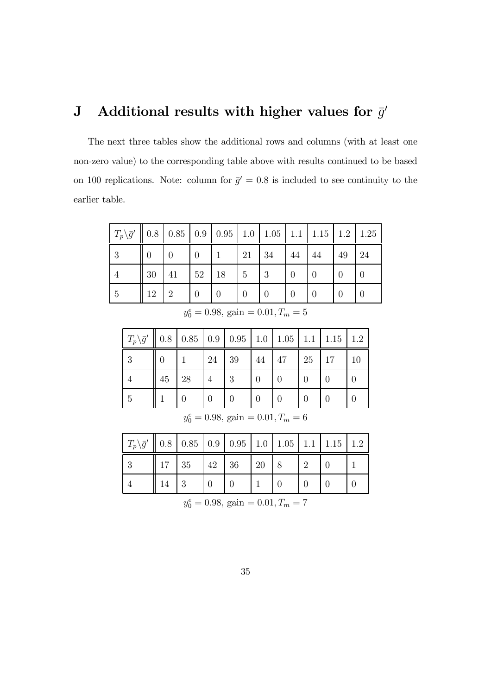## J Additional results with higher values for  $\bar{g}'$

The next three tables show the additional rows and columns (with at least one non-zero value) to the corresponding table above with results continued to be based on 100 replications. Note: column for  $\bar{g}' = 0.8$  is included to see continuity to the earlier table.

| $T_p \backslash \bar{g}'$ |    | $\parallel$ 0.8   0.85   0.9   0.95   1.0   1.05   1.1   1.15   1.2   1.25 |    |    |          |    |          |    |    |    |
|---------------------------|----|----------------------------------------------------------------------------|----|----|----------|----|----------|----|----|----|
| 3                         | 0  | 0                                                                          |    |    | 21       | 34 | 44       | 44 | 49 | 24 |
|                           | 30 | 41                                                                         | 52 | 18 | 5        | 3  | $\Omega$ |    |    |    |
| 5                         | 12 | $\mathfrak{D}$                                                             |    |    | $\Omega$ |    | $\Omega$ |    |    |    |

 $y_0^e = 0.98$ , gain  $= 0.01$ ,  $T_m = 5$ 

| $T_p\backslash \bar{g}'$ |    | $\parallel$ 0.8   0.85   0.9   0.95   1.0   1.05   1.1   1.15   1.2 |    |    |    |                  |    |    |    |
|--------------------------|----|---------------------------------------------------------------------|----|----|----|------------------|----|----|----|
| ച                        |    |                                                                     | 24 | 39 | 44 | 47               | 25 | 17 | 10 |
|                          | 45 | 28                                                                  |    | 3  |    |                  |    |    |    |
|                          |    |                                                                     | 0  |    |    | $\left( \right)$ |    |    |    |

| $y_0^e = 0.98$ , gain = 0.01, $T_m = 6$ |  |  |  |  |  |
|-----------------------------------------|--|--|--|--|--|
|-----------------------------------------|--|--|--|--|--|

| $T_p\overline{g}'$   0.8   0.85   0.9   0.95   1.0   1.05   1.1   1.15   1.2 |                              |  |    |  |  |
|------------------------------------------------------------------------------|------------------------------|--|----|--|--|
|                                                                              | $17 \mid 35 \mid 42 \mid 36$ |  | 20 |  |  |
|                                                                              |                              |  |    |  |  |

 $y_0^e = 0.98$ , gain  $= 0.01$ ,  $T_m = 7$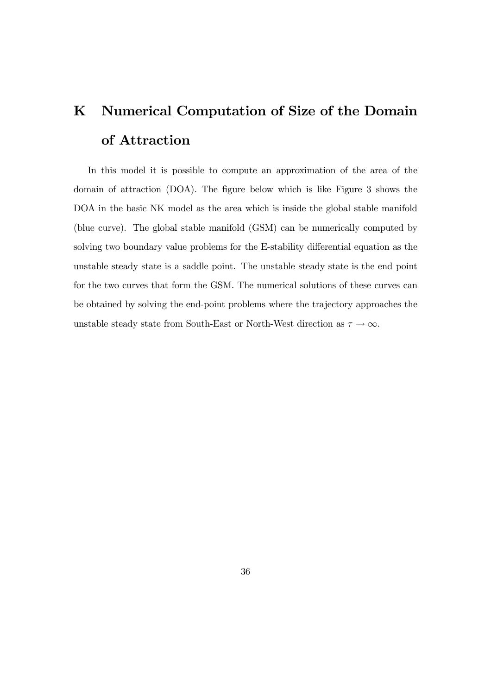# K Numerical Computation of Size of the Domain of Attraction

In this model it is possible to compute an approximation of the area of the domain of attraction (DOA). The figure below which is like Figure 3 shows the DOA in the basic NK model as the area which is inside the global stable manifold (blue curve). The global stable manifold (GSM) can be numerically computed by solving two boundary value problems for the E-stability differential equation as the unstable steady state is a saddle point. The unstable steady state is the end point for the two curves that form the GSM. The numerical solutions of these curves can be obtained by solving the end-point problems where the trajectory approaches the unstable steady state from South-East or North-West direction as  $\tau \rightarrow \infty.$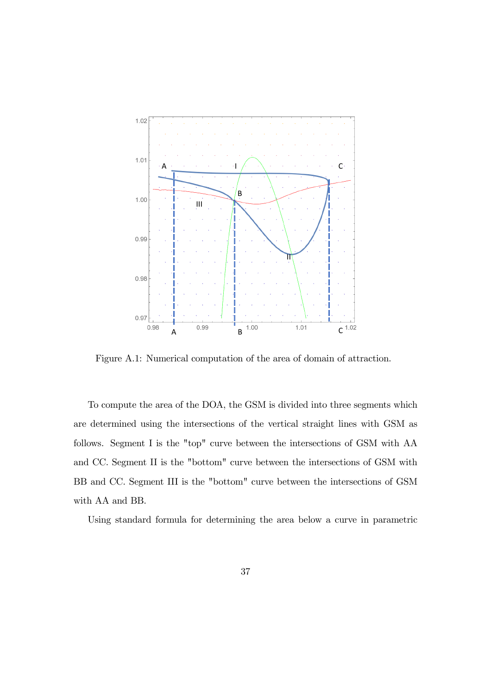

Figure A.1: Numerical computation of the area of domain of attraction.

To compute the area of the DOA, the GSM is divided into three segments which are determined using the intersections of the vertical straight lines with GSM as follows. Segment I is the "top" curve between the intersections of GSM with AA and CC. Segment II is the "bottom" curve between the intersections of GSM with BB and CC. Segment III is the "bottom" curve between the intersections of GSM with AA and BB.

Using standard formula for determining the area below a curve in parametric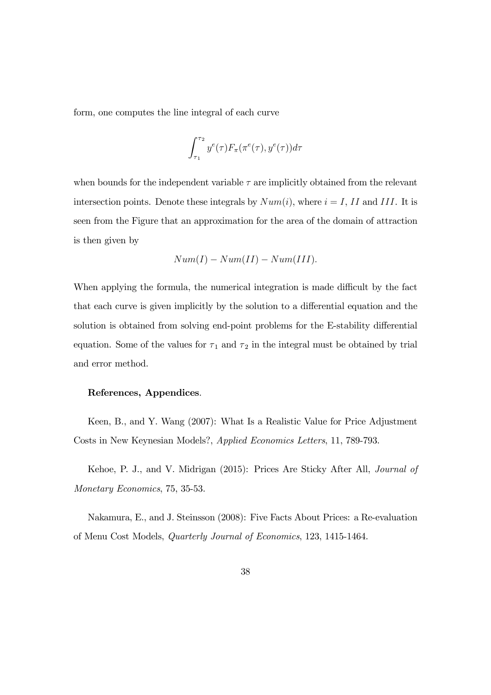form, one computes the line integral of each curve

$$
\int_{\tau_1}^{\tau_2} y^e(\tau) F_\pi(\pi^e(\tau), y^e(\tau)) d\tau
$$

when bounds for the independent variable  $\tau$  are implicitly obtained from the relevant intersection points. Denote these integrals by  $Num(i)$ , where  $i = I$ , II and III. It is seen from the Figure that an approximation for the area of the domain of attraction is then given by

$$
Num(I) - Num(II) - Num(III).
$$

When applying the formula, the numerical integration is made difficult by the fact that each curve is given implicitly by the solution to a differential equation and the solution is obtained from solving end-point problems for the E-stability differential equation. Some of the values for  $\tau_1$  and  $\tau_2$  in the integral must be obtained by trial and error method.

#### References, Appendices.

Keen, B., and Y. Wang (2007): What Is a Realistic Value for Price Adjustment Costs in New Keynesian Models?, Applied Economics Letters, 11, 789-793.

Kehoe, P. J., and V. Midrigan (2015): Prices Are Sticky After All, Journal of Monetary Economics, 75, 35-53.

Nakamura, E., and J. Steinsson (2008): Five Facts About Prices: a Re-evaluation of Menu Cost Models, Quarterly Journal of Economics, 123, 1415-1464.